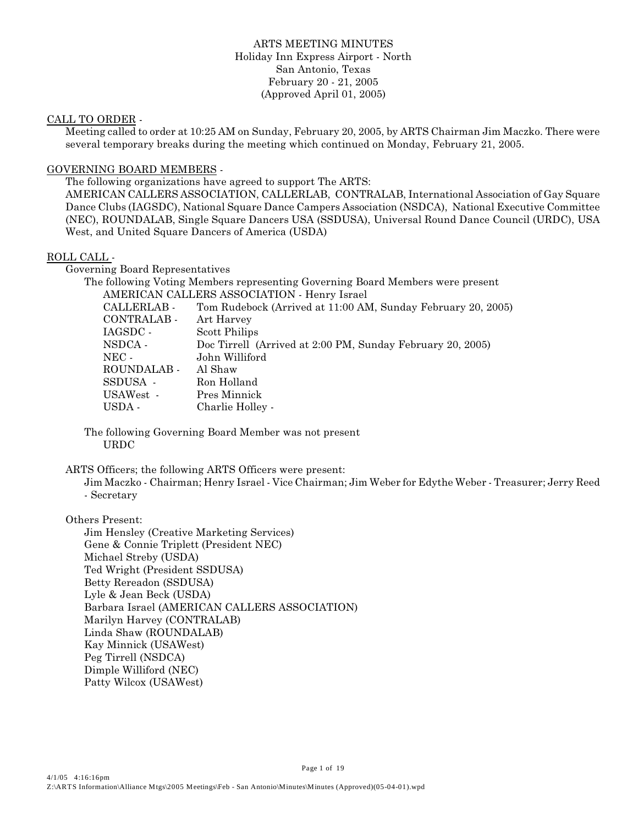ARTS MEETING MINUTES Holiday Inn Express Airport - North San Antonio, Texas February 20 - 21, 2005 (Approved April 01, 2005)

#### CALL TO ORDER -

Meeting called to order at 10:25 AM on Sunday, February 20, 2005, by ARTS Chairman Jim Maczko. There were several temporary breaks during the meeting which continued on Monday, February 21, 2005.

#### GOVERNING BOARD MEMBERS -

The following organizations have agreed to support The ARTS:

AMERICAN CALLERS ASSOCIATION, CALLERLAB, CONTRALAB, International Association of Gay Square Dance Clubs (IAGSDC), National Square Dance Campers Association (NSDCA), National Executive Committee (NEC), ROUNDALAB, Single Square Dancers USA (SSDUSA), Universal Round Dance Council (URDC), USA West, and United Square Dancers of America (USDA)

#### ROLL CALL -

Governing Board Representatives

| The following Voting Members representing Governing Board Members were present |                                                              |  |  |  |  |
|--------------------------------------------------------------------------------|--------------------------------------------------------------|--|--|--|--|
| AMERICAN CALLERS ASSOCIATION - Henry Israel                                    |                                                              |  |  |  |  |
| CALLERLAB-                                                                     | Tom Rudebock (Arrived at 11:00 AM, Sunday February 20, 2005) |  |  |  |  |
| CONTRALAB-                                                                     | Art Harvey                                                   |  |  |  |  |
| IAGSDC -                                                                       | Scott Philips                                                |  |  |  |  |
| NSDCA -                                                                        | Doc Tirrell (Arrived at 2:00 PM, Sunday February 20, 2005)   |  |  |  |  |
| $NEC -$                                                                        | John Williford                                               |  |  |  |  |
| ROUNDALAB-                                                                     | Al Shaw                                                      |  |  |  |  |
| SSDUSA -                                                                       | Ron Holland                                                  |  |  |  |  |
| USAWest -                                                                      | Pres Minnick                                                 |  |  |  |  |
| USDA -                                                                         | Charlie Holley -                                             |  |  |  |  |
|                                                                                |                                                              |  |  |  |  |

The following Governing Board Member was not present URDC

ARTS Officers; the following ARTS Officers were present:

Jim Maczko - Chairman; Henry Israel - Vice Chairman; Jim Weber for Edythe Weber - Treasurer; Jerry Reed - Secretary

Others Present:

Jim Hensley (Creative Marketing Services) Gene & Connie Triplett (President NEC) Michael Streby (USDA) Ted Wright (President SSDUSA) Betty Rereadon (SSDUSA) Lyle & Jean Beck (USDA) Barbara Israel (AMERICAN CALLERS ASSOCIATION) Marilyn Harvey (CONTRALAB) Linda Shaw (ROUNDALAB) Kay Minnick (USAWest) Peg Tirrell (NSDCA) Dimple Williford (NEC) Patty Wilcox (USAWest)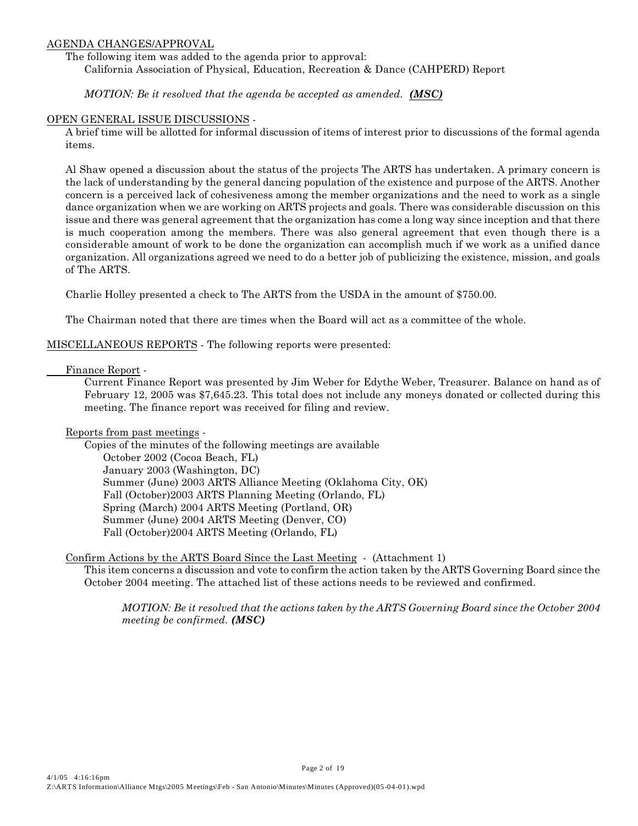#### AGENDA CHANGES/APPROVAL

The following item was added to the agenda prior to approval: California Association of Physical, Education, Recreation & Dance (CAHPERD) Report

*MOTION: Be it resolved that the agenda be accepted as amended. (MSC)* 

#### OPEN GENERAL ISSUE DISCUSSIONS -

A brief time will be allotted for informal discussion of items of interest prior to discussions of the formal agenda items.

Al Shaw opened a discussion about the status of the projects The ARTS has undertaken. A primary concern is the lack of understanding by the general dancing population of the existence and purpose of the ARTS. Another concern is a perceived lack of cohesiveness among the member organizations and the need to work as a single dance organization when we are working on ARTS projects and goals. There was considerable discussion on this issue and there was general agreement that the organization has come a long way since inception and that there is much cooperation among the members. There was also general agreement that even though there is a considerable amount of work to be done the organization can accomplish much if we work as a unified dance organization. All organizations agreed we need to do a better job of publicizing the existence, mission, and goals of The ARTS.

Charlie Holley presented a check to The ARTS from the USDA in the amount of \$750.00.

The Chairman noted that there are times when the Board will act as a committee of the whole.

MISCELLANEOUS REPORTS - The following reports were presented:

#### Finance Report -

Current Finance Report was presented by Jim Weber for Edythe Weber, Treasurer. Balance on hand as of February 12, 2005 was \$7,645.23. This total does not include any moneys donated or collected during this meeting. The finance report was received for filing and review.

#### Reports from past meetings -

Copies of the minutes of the following meetings are available October 2002 (Cocoa Beach, FL) January 2003 (Washington, DC) Summer (June) 2003 ARTS Alliance Meeting (Oklahoma City, OK) Fall (October)2003 ARTS Planning Meeting (Orlando, FL) Spring (March) 2004 ARTS Meeting (Portland, OR) Summer (June) 2004 ARTS Meeting (Denver, CO) Fall (October)2004 ARTS Meeting (Orlando, FL)

Confirm Actions by the ARTS Board Since the Last Meeting - (Attachment 1)

This item concerns a discussion and vote to confirm the action taken by the ARTS Governing Board since the October 2004 meeting. The attached list of these actions needs to be reviewed and confirmed.

*MOTION: Be it resolved that the actions taken by the ARTS Governing Board since the October 2004 meeting be confirmed. (MSC)*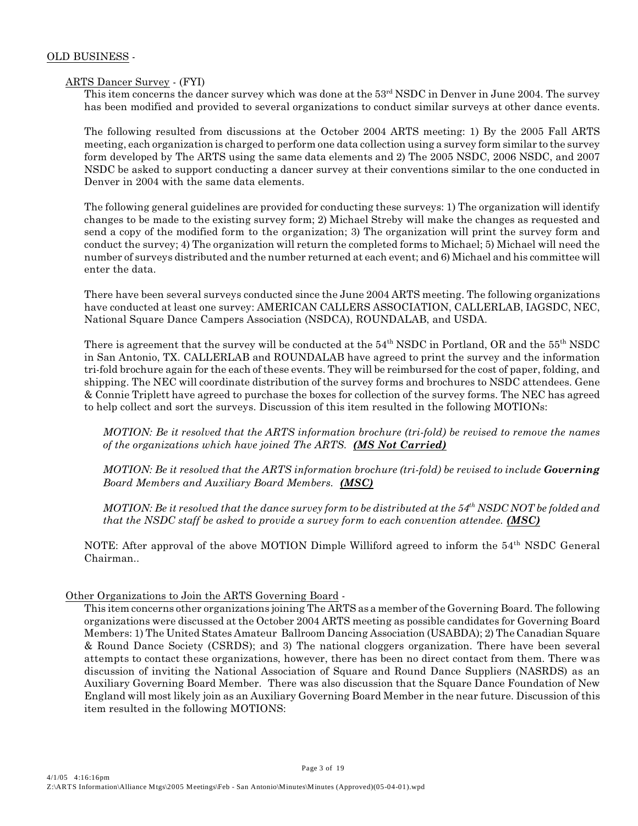#### OLD BUSINESS -

#### ARTS Dancer Survey - (FYI)

This item concerns the dancer survey which was done at the  $53<sup>rd</sup>$  NSDC in Denver in June 2004. The survey has been modified and provided to several organizations to conduct similar surveys at other dance events.

The following resulted from discussions at the October 2004 ARTS meeting: 1) By the 2005 Fall ARTS meeting, each organization is charged to perform one data collection using a survey form similar to the survey form developed by The ARTS using the same data elements and 2) The 2005 NSDC, 2006 NSDC, and 2007 NSDC be asked to support conducting a dancer survey at their conventions similar to the one conducted in Denver in 2004 with the same data elements.

The following general guidelines are provided for conducting these surveys: 1) The organization will identify changes to be made to the existing survey form; 2) Michael Streby will make the changes as requested and send a copy of the modified form to the organization; 3) The organization will print the survey form and conduct the survey; 4) The organization will return the completed forms to Michael; 5) Michael will need the number of surveys distributed and the number returned at each event; and 6) Michael and his committee will enter the data.

There have been several surveys conducted since the June 2004 ARTS meeting. The following organizations have conducted at least one survey: AMERICAN CALLERS ASSOCIATION, CALLERLAB, IAGSDC, NEC, National Square Dance Campers Association (NSDCA), ROUNDALAB, and USDA.

There is agreement that the survey will be conducted at the  $54<sup>th</sup>$  NSDC in Portland, OR and the  $55<sup>th</sup>$  NSDC in San Antonio, TX. CALLERLAB and ROUNDALAB have agreed to print the survey and the information tri-fold brochure again for the each of these events. They will be reimbursed for the cost of paper, folding, and shipping. The NEC will coordinate distribution of the survey forms and brochures to NSDC attendees. Gene & Connie Triplett have agreed to purchase the boxes for collection of the survey forms. The NEC has agreed to help collect and sort the surveys. Discussion of this item resulted in the following MOTIONs:

*MOTION: Be it resolved that the ARTS information brochure (tri-fold) be revised to remove the names of the organizations which have joined The ARTS. (MS Not Carried)* 

*MOTION: Be it resolved that the ARTS information brochure (tri-fold) be revised to include Governing Board Members and Auxiliary Board Members. (MSC)* 

*MOTION: Be it resolved that the dance survey form to be distributed at the 54<sup>th</sup> NSDC NOT be folded and that the NSDC staff be asked to provide a survey form to each convention attendee.* (*MSC*)

NOTE: After approval of the above MOTION Dimple Williford agreed to inform the 54<sup>th</sup> NSDC General Chairman..

#### Other Organizations to Join the ARTS Governing Board -

This item concerns other organizations joining The ARTS as a member of the Governing Board. The following organizations were discussed at the October 2004 ARTS meeting as possible candidates for Governing Board Members: 1) The United States Amateur Ballroom Dancing Association (USABDA); 2) The Canadian Square & Round Dance Society (CSRDS); and 3) The national cloggers organization. There have been several attempts to contact these organizations, however, there has been no direct contact from them. There was discussion of inviting the National Association of Square and Round Dance Suppliers (NASRDS) as an Auxiliary Governing Board Member. There was also discussion that the Square Dance Foundation of New England will most likely join as an Auxiliary Governing Board Member in the near future. Discussion of this item resulted in the following MOTIONS: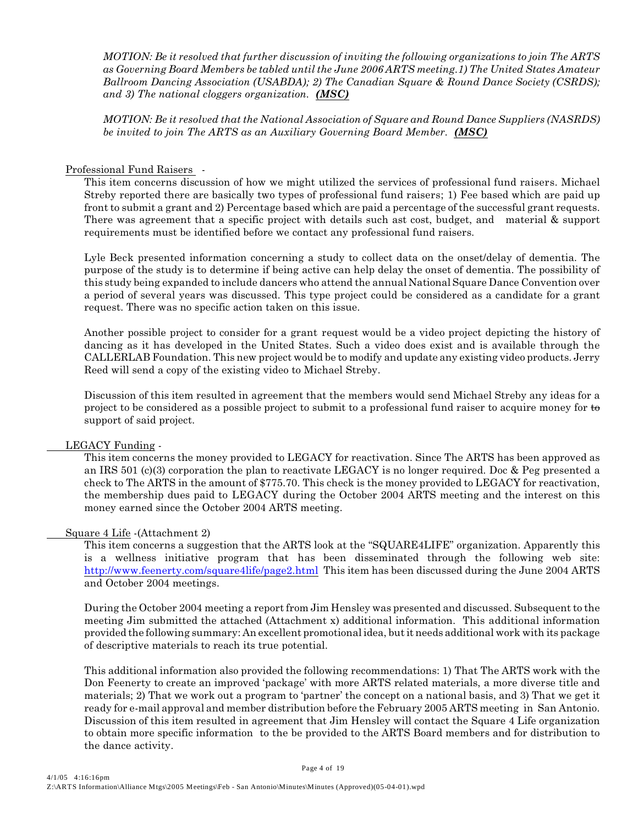*MOTION: Be it resolved that further discussion of inviting the following organizations to join The ARTS as Governing Board Members be tabled until the June 2006 ARTS meeting.1) The United States Amateur Ballroom Dancing Association (USABDA); 2) The Canadian Square & Round Dance Society (CSRDS); and 3) The national cloggers organization. (MSC)* 

*MOTION: Be it resolved that the National Association of Square and Round Dance Suppliers (NASRDS) be invited to join The ARTS as an Auxiliary Governing Board Member. (MSC)* 

#### Professional Fund Raisers -

This item concerns discussion of how we might utilized the services of professional fund raisers. Michael Streby reported there are basically two types of professional fund raisers; 1) Fee based which are paid up front to submit a grant and 2) Percentage based which are paid a percentage of the successful grant requests. There was agreement that a specific project with details such ast cost, budget, and material & support requirements must be identified before we contact any professional fund raisers.

Lyle Beck presented information concerning a study to collect data on the onset/delay of dementia. The purpose of the study is to determine if being active can help delay the onset of dementia. The possibility of this study being expanded to include dancers who attend the annual National Square Dance Convention over a period of several years was discussed. This type project could be considered as a candidate for a grant request. There was no specific action taken on this issue.

Another possible project to consider for a grant request would be a video project depicting the history of dancing as it has developed in the United States. Such a video does exist and is available through the CALLERLAB Foundation. This new project would be to modify and update any existing video products. Jerry Reed will send a copy of the existing video to Michael Streby.

Discussion of this item resulted in agreement that the members would send Michael Streby any ideas for a project to be considered as a possible project to submit to a professional fund raiser to acquire money for to support of said project.

#### LEGACY Funding -

This item concerns the money provided to LEGACY for reactivation. Since The ARTS has been approved as an IRS 501 (c)(3) corporation the plan to reactivate LEGACY is no longer required. Doc & Peg presented a check to The ARTS in the amount of \$775.70. This check is the money provided to LEGACY for reactivation, the membership dues paid to LEGACY during the October 2004 ARTS meeting and the interest on this money earned since the October 2004 ARTS meeting.

#### Square 4 Life -(Attachment 2)

 This item concerns a suggestion that the ARTS look at the "SQUARE4LIFE" organization. Apparently this is a wellness initiative program that has been disseminated through the following web site: [http://www.feenerty.com/square4life/page2.html](http://www.feenerty.com/square4life/page2.html.) This item has been discussed during the June 2004 ARTS and October 2004 meetings.

During the October 2004 meeting a report from Jim Hensley was presented and discussed. Subsequent to the meeting Jim submitted the attached (Attachment x) additional information. This additional information provided the following summary: An excellent promotional idea, but it needs additional work with its package of descriptive materials to reach its true potential.

This additional information also provided the following recommendations: 1) That The ARTS work with the Don Feenerty to create an improved 'package' with more ARTS related materials, a more diverse title and materials; 2) That we work out a program to 'partner' the concept on a national basis, and 3) That we get it ready for e-mail approval and member distribution before the February 2005 ARTS meeting in San Antonio. Discussion of this item resulted in agreement that Jim Hensley will contact the Square 4 Life organization to obtain more specific information to the be provided to the ARTS Board members and for distribution to the dance activity.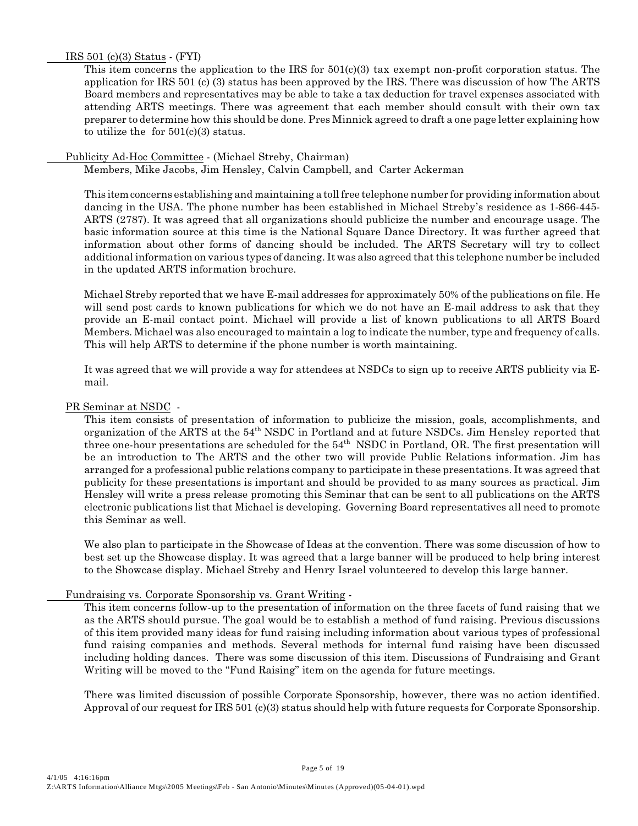#### IRS 501 (c)(3) Status - (FYI)

This item concerns the application to the IRS for  $501(c)(3)$  tax exempt non-profit corporation status. The application for IRS 501 (c) (3) status has been approved by the IRS. There was discussion of how The ARTS Board members and representatives may be able to take a tax deduction for travel expenses associated with attending ARTS meetings. There was agreement that each member should consult with their own tax preparer to determine how this should be done. Pres Minnick agreed to draft a one page letter explaining how to utilize the for  $501(c)(3)$  status.

#### Publicity Ad-Hoc Committee - (Michael Streby, Chairman)

Members, Mike Jacobs, Jim Hensley, Calvin Campbell, and Carter Ackerman

This item concerns establishing and maintaining a toll free telephone number for providing information about dancing in the USA. The phone number has been established in Michael Streby's residence as 1-866-445- ARTS (2787). It was agreed that all organizations should publicize the number and encourage usage. The basic information source at this time is the National Square Dance Directory. It was further agreed that information about other forms of dancing should be included. The ARTS Secretary will try to collect additional information on various types of dancing. It was also agreed that this telephone number be included in the updated ARTS information brochure.

Michael Streby reported that we have E-mail addresses for approximately 50% of the publications on file. He will send post cards to known publications for which we do not have an E-mail address to ask that they provide an E-mail contact point. Michael will provide a list of known publications to all ARTS Board Members. Michael was also encouraged to maintain a log to indicate the number, type and frequency of calls. This will help ARTS to determine if the phone number is worth maintaining.

It was agreed that we will provide a way for attendees at NSDCs to sign up to receive ARTS publicity via Email.

#### PR Seminar at NSDC -

This item consists of presentation of information to publicize the mission, goals, accomplishments, and organization of the ARTS at the  $54<sup>th</sup>$  NSDC in Portland and at future NSDCs. Jim Hensley reported that three one-hour presentations are scheduled for the  $54<sup>th</sup>$  NSDC in Portland, OR. The first presentation will be an introduction to The ARTS and the other two will provide Public Relations information. Jim has arranged for a professional public relations company to participate in these presentations. It was agreed that publicity for these presentations is important and should be provided to as many sources as practical. Jim Hensley will write a press release promoting this Seminar that can be sent to all publications on the ARTS electronic publications list that Michael is developing. Governing Board representatives all need to promote this Seminar as well.

We also plan to participate in the Showcase of Ideas at the convention. There was some discussion of how to best set up the Showcase display. It was agreed that a large banner will be produced to help bring interest to the Showcase display. Michael Streby and Henry Israel volunteered to develop this large banner.

#### Fundraising vs. Corporate Sponsorship vs. Grant Writing -

This item concerns follow-up to the presentation of information on the three facets of fund raising that we as the ARTS should pursue. The goal would be to establish a method of fund raising. Previous discussions of this item provided many ideas for fund raising including information about various types of professional fund raising companies and methods. Several methods for internal fund raising have been discussed including holding dances. There was some discussion of this item. Discussions of Fundraising and Grant Writing will be moved to the "Fund Raising" item on the agenda for future meetings.

There was limited discussion of possible Corporate Sponsorship, however, there was no action identified. Approval of our request for IRS 501 (c)(3) status should help with future requests for Corporate Sponsorship.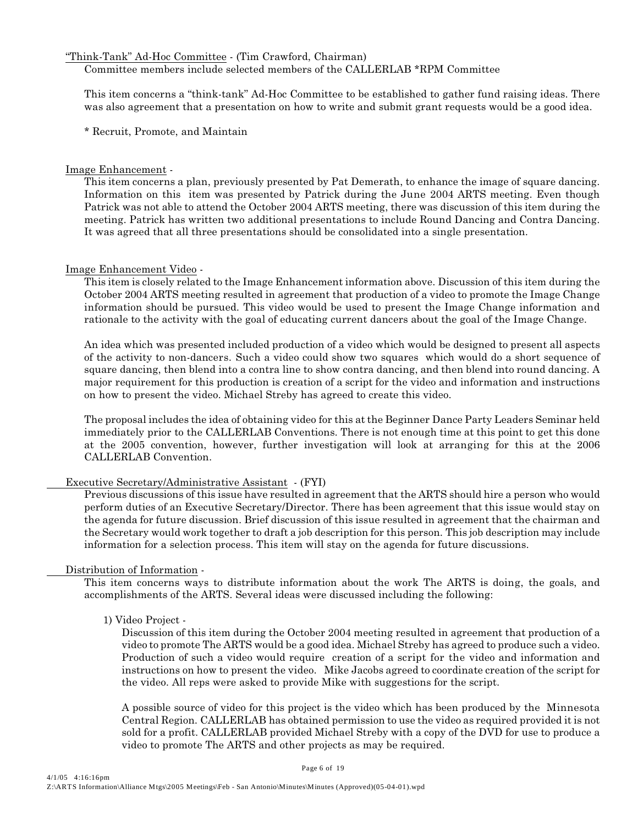#### "Think-Tank" Ad-Hoc Committee - (Tim Crawford, Chairman)

Committee members include selected members of the CALLERLAB \*RPM Committee

This item concerns a "think-tank" Ad-Hoc Committee to be established to gather fund raising ideas. There was also agreement that a presentation on how to write and submit grant requests would be a good idea.

\* Recruit, Promote, and Maintain

#### Image Enhancement -

This item concerns a plan, previously presented by Pat Demerath, to enhance the image of square dancing. Information on this item was presented by Patrick during the June 2004 ARTS meeting. Even though Patrick was not able to attend the October 2004 ARTS meeting, there was discussion of this item during the meeting. Patrick has written two additional presentations to include Round Dancing and Contra Dancing. It was agreed that all three presentations should be consolidated into a single presentation.

#### Image Enhancement Video -

This item is closely related to the Image Enhancement information above. Discussion of this item during the October 2004 ARTS meeting resulted in agreement that production of a video to promote the Image Change information should be pursued. This video would be used to present the Image Change information and rationale to the activity with the goal of educating current dancers about the goal of the Image Change.

An idea which was presented included production of a video which would be designed to present all aspects of the activity to non-dancers. Such a video could show two squares which would do a short sequence of square dancing, then blend into a contra line to show contra dancing, and then blend into round dancing. A major requirement for this production is creation of a script for the video and information and instructions on how to present the video. Michael Streby has agreed to create this video.

The proposal includes the idea of obtaining video for this at the Beginner Dance Party Leaders Seminar held immediately prior to the CALLERLAB Conventions. There is not enough time at this point to get this done at the 2005 convention, however, further investigation will look at arranging for this at the 2006 CALLERLAB Convention.

#### Executive Secretary/Administrative Assistant - (FYI)

Previous discussions of this issue have resulted in agreement that the ARTS should hire a person who would perform duties of an Executive Secretary/Director. There has been agreement that this issue would stay on the agenda for future discussion. Brief discussion of this issue resulted in agreement that the chairman and the Secretary would work together to draft a job description for this person. This job description may include information for a selection process. This item will stay on the agenda for future discussions.

#### Distribution of Information -

This item concerns ways to distribute information about the work The ARTS is doing, the goals, and accomplishments of the ARTS. Several ideas were discussed including the following:

1) Video Project -

Discussion of this item during the October 2004 meeting resulted in agreement that production of a video to promote The ARTS would be a good idea. Michael Streby has agreed to produce such a video. Production of such a video would require creation of a script for the video and information and instructions on how to present the video. Mike Jacobs agreed to coordinate creation of the script for the video. All reps were asked to provide Mike with suggestions for the script.

A possible source of video for this project is the video which has been produced by the Minnesota Central Region. CALLERLAB has obtained permission to use the video as required provided it is not sold for a profit. CALLERLAB provided Michael Streby with a copy of the DVD for use to produce a video to promote The ARTS and other projects as may be required.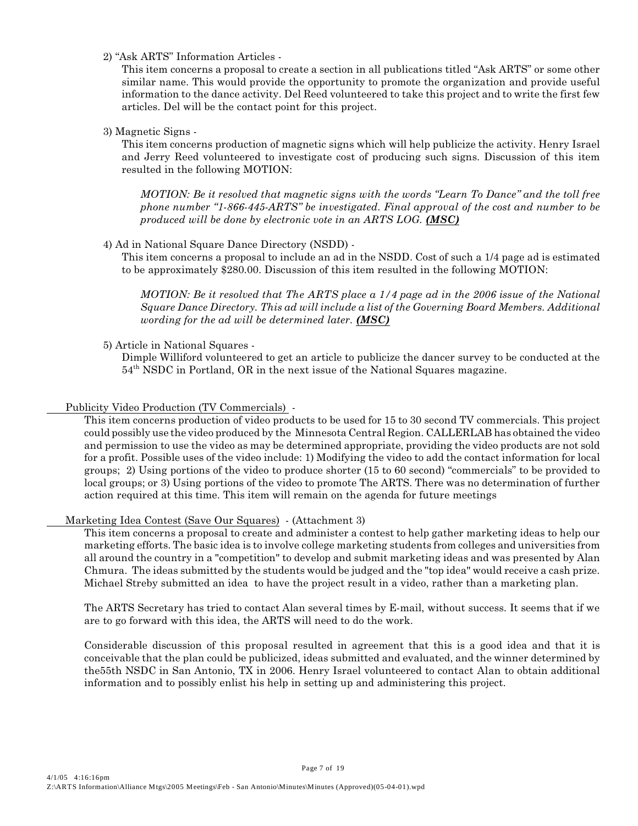2) "Ask ARTS" Information Articles -

This item concerns a proposal to create a section in all publications titled "Ask ARTS" or some other similar name. This would provide the opportunity to promote the organization and provide useful information to the dance activity. Del Reed volunteered to take this project and to write the first few articles. Del will be the contact point for this project.

3) Magnetic Signs -

This item concerns production of magnetic signs which will help publicize the activity. Henry Israel and Jerry Reed volunteered to investigate cost of producing such signs. Discussion of this item resulted in the following MOTION:

*MOTION: Be it resolved that magnetic signs with the words "Learn To Dance" and the toll free phone number "1-866-445-ARTS" be investigated. Final approval of the cost and number to be produced will be done by electronic vote in an ARTS LOG. (MSC)*

#### 4) Ad in National Square Dance Directory (NSDD) -

This item concerns a proposal to include an ad in the NSDD. Cost of such a 1/4 page ad is estimated to be approximately \$280.00. Discussion of this item resulted in the following MOTION:

*MOTION: Be it resolved that The ARTS place a 1/4 page ad in the 2006 issue of the National Square Dance Directory. This ad will include a list of the Governing Board Members. Additional wording for the ad will be determined later. (MSC)*

5) Article in National Squares -

Dimple Williford volunteered to get an article to publicize the dancer survey to be conducted at the  $54<sup>th</sup>$  NSDC in Portland, OR in the next issue of the National Squares magazine.

#### Publicity Video Production (TV Commercials) -

This item concerns production of video products to be used for 15 to 30 second TV commercials. This project could possibly use the video produced by the Minnesota Central Region. CALLERLAB has obtained the video and permission to use the video as may be determined appropriate, providing the video products are not sold for a profit. Possible uses of the video include: 1) Modifying the video to add the contact information for local groups; 2) Using portions of the video to produce shorter (15 to 60 second) "commercials" to be provided to local groups; or 3) Using portions of the video to promote The ARTS. There was no determination of further action required at this time. This item will remain on the agenda for future meetings

#### Marketing Idea Contest (Save Our Squares) - (Attachment 3)

This item concerns a proposal to create and administer a contest to help gather marketing ideas to help our marketing efforts. The basic idea is to involve college marketing students from colleges and universities from all around the country in a "competition" to develop and submit marketing ideas and was presented by Alan Chmura. The ideas submitted by the students would be judged and the "top idea" would receive a cash prize. Michael Streby submitted an idea to have the project result in a video, rather than a marketing plan.

The ARTS Secretary has tried to contact Alan several times by E-mail, without success. It seems that if we are to go forward with this idea, the ARTS will need to do the work.

Considerable discussion of this proposal resulted in agreement that this is a good idea and that it is conceivable that the plan could be publicized, ideas submitted and evaluated, and the winner determined by the55th NSDC in San Antonio, TX in 2006. Henry Israel volunteered to contact Alan to obtain additional information and to possibly enlist his help in setting up and administering this project.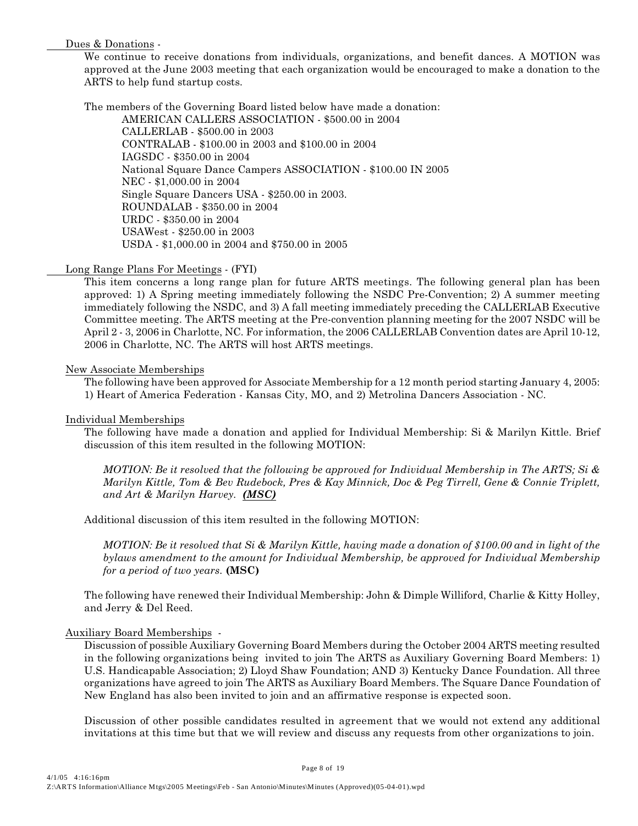Dues & Donations -

We continue to receive donations from individuals, organizations, and benefit dances. A MOTION was approved at the June 2003 meeting that each organization would be encouraged to make a donation to the ARTS to help fund startup costs.

The members of the Governing Board listed below have made a donation: AMERICAN CALLERS ASSOCIATION - \$500.00 in 2004 CALLERLAB - \$500.00 in 2003 CONTRALAB - \$100.00 in 2003 and \$100.00 in 2004 IAGSDC - \$350.00 in 2004 National Square Dance Campers ASSOCIATION - \$100.00 IN 2005 NEC - \$1,000.00 in 2004 Single Square Dancers USA - \$250.00 in 2003. ROUNDALAB - \$350.00 in 2004 URDC - \$350.00 in 2004 USAWest - \$250.00 in 2003 USDA - \$1,000.00 in 2004 and \$750.00 in 2005

#### Long Range Plans For Meetings - (FYI)

This item concerns a long range plan for future ARTS meetings. The following general plan has been approved: 1) A Spring meeting immediately following the NSDC Pre-Convention; 2) A summer meeting immediately following the NSDC, and 3) A fall meeting immediately preceding the CALLERLAB Executive Committee meeting. The ARTS meeting at the Pre-convention planning meeting for the 2007 NSDC will be April 2 - 3, 2006 in Charlotte, NC. For information, the 2006 CALLERLAB Convention dates are April 10-12, 2006 in Charlotte, NC. The ARTS will host ARTS meetings.

#### New Associate Memberships

The following have been approved for Associate Membership for a 12 month period starting January 4, 2005: 1) Heart of America Federation - Kansas City, MO, and 2) Metrolina Dancers Association - NC.

#### Individual Memberships

The following have made a donation and applied for Individual Membership: Si & Marilyn Kittle. Brief discussion of this item resulted in the following MOTION:

*MOTION: Be it resolved that the following be approved for Individual Membership in The ARTS; Si & Marilyn Kittle, Tom & Bev Rudebock, Pres & Kay Minnick, Doc & Peg Tirrell, Gene & Connie Triplett, and Art & Marilyn Harvey. (MSC)*

Additional discussion of this item resulted in the following MOTION:

*MOTION: Be it resolved that Si & Marilyn Kittle, having made a donation of \$100.00 and in light of the bylaws amendment to the amount for Individual Membership, be approved for Individual Membership for a period of two years.* **(MSC)**

The following have renewed their Individual Membership: John & Dimple Williford, Charlie & Kitty Holley, and Jerry & Del Reed.

#### Auxiliary Board Memberships -

Discussion of possible Auxiliary Governing Board Members during the October 2004 ARTS meeting resulted in the following organizations being invited to join The ARTS as Auxiliary Governing Board Members: 1) U.S. Handicapable Association; 2) Lloyd Shaw Foundation; AND 3) Kentucky Dance Foundation. All three organizations have agreed to join The ARTS as Auxiliary Board Members. The Square Dance Foundation of New England has also been invited to join and an affirmative response is expected soon.

Discussion of other possible candidates resulted in agreement that we would not extend any additional invitations at this time but that we will review and discuss any requests from other organizations to join.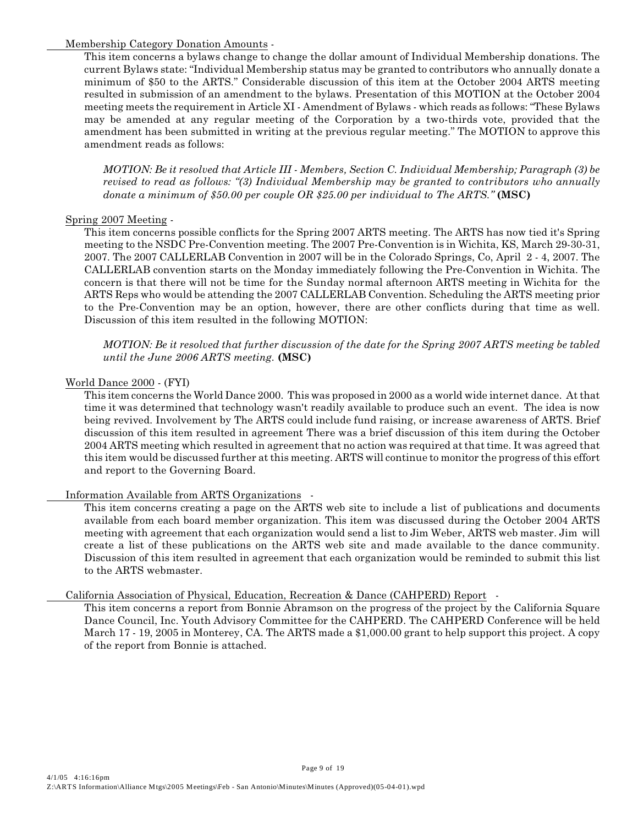#### Membership Category Donation Amounts -

This item concerns a bylaws change to change the dollar amount of Individual Membership donations. The current Bylaws state: "Individual Membership status may be granted to contributors who annually donate a minimum of \$50 to the ARTS." Considerable discussion of this item at the October 2004 ARTS meeting resulted in submission of an amendment to the bylaws. Presentation of this MOTION at the October 2004 meeting meets the requirement in Article XI - Amendment of Bylaws - which reads as follows: "These Bylaws may be amended at any regular meeting of the Corporation by a two-thirds vote, provided that the amendment has been submitted in writing at the previous regular meeting." The MOTION to approve this amendment reads as follows:

*MOTION: Be it resolved that Article III - Members, Section C. Individual Membership; Paragraph (3) be revised to read as follows: "(3) Individual Membership may be granted to contributors who annually donate a minimum of \$50.00 per couple OR \$25.00 per individual to The ARTS."* **(MSC)**

#### Spring 2007 Meeting -

This item concerns possible conflicts for the Spring 2007 ARTS meeting. The ARTS has now tied it's Spring meeting to the NSDC Pre-Convention meeting. The 2007 Pre-Convention is in Wichita, KS, March 29-30-31, 2007. The 2007 CALLERLAB Convention in 2007 will be in the Colorado Springs, Co, April 2 - 4, 2007. The CALLERLAB convention starts on the Monday immediately following the Pre-Convention in Wichita. The concern is that there will not be time for the Sunday normal afternoon ARTS meeting in Wichita for the ARTS Reps who would be attending the 2007 CALLERLAB Convention. Scheduling the ARTS meeting prior to the Pre-Convention may be an option, however, there are other conflicts during that time as well. Discussion of this item resulted in the following MOTION:

*MOTION: Be it resolved that further discussion of the date for the Spring 2007 ARTS meeting be tabled until the June 2006 ARTS meeting.* **(MSC)**

#### World Dance 2000 - (FYI)

This item concerns the World Dance 2000. This was proposed in 2000 as a world wide internet dance. At that time it was determined that technology wasn't readily available to produce such an event. The idea is now being revived. Involvement by The ARTS could include fund raising, or increase awareness of ARTS. Brief discussion of this item resulted in agreement There was a brief discussion of this item during the October 2004 ARTS meeting which resulted in agreement that no action was required at that time. It was agreed that this item would be discussed further at this meeting. ARTS will continue to monitor the progress of this effort and report to the Governing Board.

#### Information Available from ARTS Organizations -

This item concerns creating a page on the ARTS web site to include a list of publications and documents available from each board member organization. This item was discussed during the October 2004 ARTS meeting with agreement that each organization would send a list to Jim Weber, ARTS web master. Jim will create a list of these publications on the ARTS web site and made available to the dance community. Discussion of this item resulted in agreement that each organization would be reminded to submit this list to the ARTS webmaster.

#### California Association of Physical, Education, Recreation & Dance (CAHPERD) Report -

This item concerns a report from Bonnie Abramson on the progress of the project by the California Square Dance Council, Inc. Youth Advisory Committee for the CAHPERD. The CAHPERD Conference will be held March 17 - 19, 2005 in Monterey, CA. The ARTS made a \$1,000.00 grant to help support this project. A copy of the report from Bonnie is attached.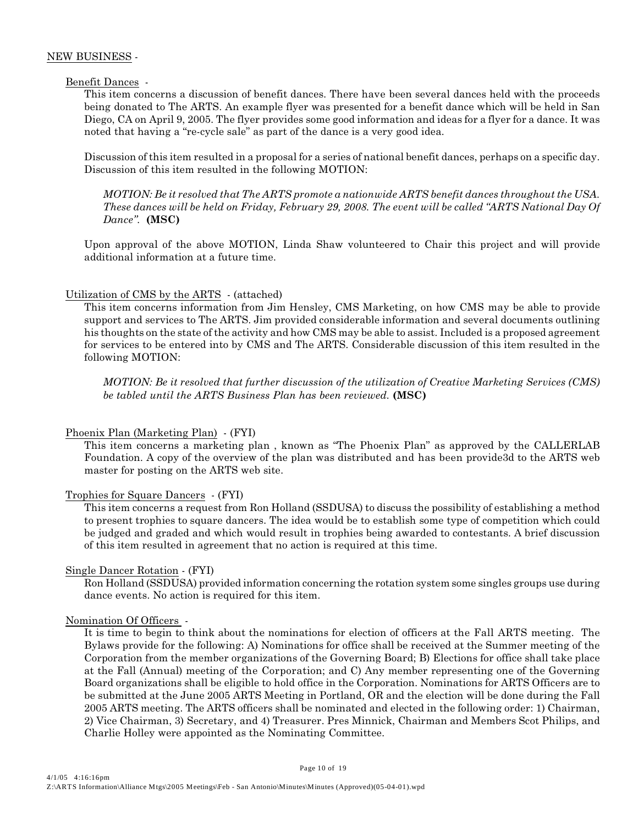#### NEW BUSINESS -

#### Benefit Dances -

This item concerns a discussion of benefit dances. There have been several dances held with the proceeds being donated to The ARTS. An example flyer was presented for a benefit dance which will be held in San Diego, CA on April 9, 2005. The flyer provides some good information and ideas for a flyer for a dance. It was noted that having a "re-cycle sale" as part of the dance is a very good idea.

Discussion of this item resulted in a proposal for a series of national benefit dances, perhaps on a specific day. Discussion of this item resulted in the following MOTION:

*MOTION: Be it resolved that The ARTS promote a nationwide ARTS benefit dances throughout the USA. These dances will be held on Friday, February 29, 2008. The event will be called "ARTS National Day Of Dance".* **(MSC)**

Upon approval of the above MOTION, Linda Shaw volunteered to Chair this project and will provide additional information at a future time.

#### Utilization of CMS by the ARTS - (attached)

This item concerns information from Jim Hensley, CMS Marketing, on how CMS may be able to provide support and services to The ARTS. Jim provided considerable information and several documents outlining his thoughts on the state of the activity and how CMS may be able to assist. Included is a proposed agreement for services to be entered into by CMS and The ARTS. Considerable discussion of this item resulted in the following MOTION:

*MOTION: Be it resolved that further discussion of the utilization of Creative Marketing Services (CMS) be tabled until the ARTS Business Plan has been reviewed.* **(MSC)**

#### Phoenix Plan (Marketing Plan) - (FYI)

This item concerns a marketing plan , known as "The Phoenix Plan" as approved by the CALLERLAB Foundation. A copy of the overview of the plan was distributed and has been provide3d to the ARTS web master for posting on the ARTS web site.

#### Trophies for Square Dancers - (FYI)

This item concerns a request from Ron Holland (SSDUSA) to discuss the possibility of establishing a method to present trophies to square dancers. The idea would be to establish some type of competition which could be judged and graded and which would result in trophies being awarded to contestants. A brief discussion of this item resulted in agreement that no action is required at this time.

#### Single Dancer Rotation - (FYI)

Ron Holland (SSDUSA) provided information concerning the rotation system some singles groups use during dance events. No action is required for this item.

#### Nomination Of Officers -

It is time to begin to think about the nominations for election of officers at the Fall ARTS meeting. The Bylaws provide for the following: A) Nominations for office shall be received at the Summer meeting of the Corporation from the member organizations of the Governing Board; B) Elections for office shall take place at the Fall (Annual) meeting of the Corporation; and C) Any member representing one of the Governing Board organizations shall be eligible to hold office in the Corporation. Nominations for ARTS Officers are to be submitted at the June 2005 ARTS Meeting in Portland, OR and the election will be done during the Fall 2005 ARTS meeting. The ARTS officers shall be nominated and elected in the following order: 1) Chairman, 2) Vice Chairman, 3) Secretary, and 4) Treasurer. Pres Minnick, Chairman and Members Scot Philips, and Charlie Holley were appointed as the Nominating Committee.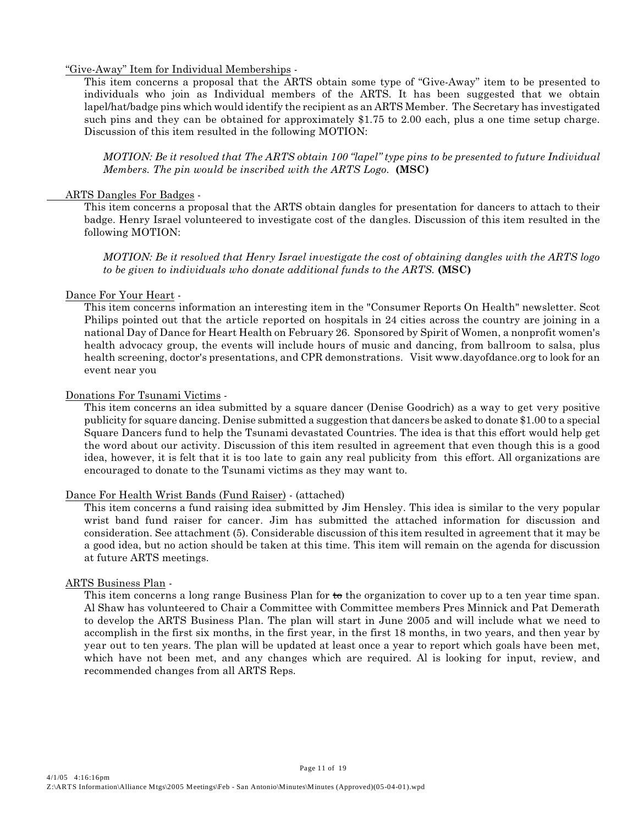#### "Give-Away" Item for Individual Memberships -

This item concerns a proposal that the ARTS obtain some type of "Give-Away" item to be presented to individuals who join as Individual members of the ARTS. It has been suggested that we obtain lapel/hat/badge pins which would identify the recipient as an ARTS Member. The Secretary has investigated such pins and they can be obtained for approximately \$1.75 to 2.00 each, plus a one time setup charge. Discussion of this item resulted in the following MOTION:

*MOTION: Be it resolved that The ARTS obtain 100 "lapel" type pins to be presented to future Individual Members. The pin would be inscribed with the ARTS Logo.* **(MSC)**

#### ARTS Dangles For Badges -

This item concerns a proposal that the ARTS obtain dangles for presentation for dancers to attach to their badge. Henry Israel volunteered to investigate cost of the dangles. Discussion of this item resulted in the following MOTION:

*MOTION: Be it resolved that Henry Israel investigate the cost of obtaining dangles with the ARTS logo to be given to individuals who donate additional funds to the ARTS.* **(MSC)**

#### Dance For Your Heart -

This item concerns information an interesting item in the "Consumer Reports On Health" newsletter. Scot Philips pointed out that the article reported on hospitals in 24 cities across the country are joining in a national Day of Dance for Heart Health on February 26. Sponsored by Spirit of Women, a nonprofit women's health advocacy group, the events will include hours of music and dancing, from ballroom to salsa, plus health screening, doctor's presentations, and CPR demonstrations. Visit www.dayofdance.org to look for an event near you

#### Donations For Tsunami Victims -

This item concerns an idea submitted by a square dancer (Denise Goodrich) as a way to get very positive publicity for square dancing. Denise submitted a suggestion that dancers be asked to donate \$1.00 to a special Square Dancers fund to help the Tsunami devastated Countries. The idea is that this effort would help get the word about our activity. Discussion of this item resulted in agreement that even though this is a good idea, however, it is felt that it is too late to gain any real publicity from this effort. All organizations are encouraged to donate to the Tsunami victims as they may want to.

#### Dance For Health Wrist Bands (Fund Raiser) - (attached)

This item concerns a fund raising idea submitted by Jim Hensley. This idea is similar to the very popular wrist band fund raiser for cancer. Jim has submitted the attached information for discussion and consideration. See attachment (5). Considerable discussion of this item resulted in agreement that it may be a good idea, but no action should be taken at this time. This item will remain on the agenda for discussion at future ARTS meetings.

#### ARTS Business Plan -

This item concerns a long range Business Plan for to the organization to cover up to a ten year time span. Al Shaw has volunteered to Chair a Committee with Committee members Pres Minnick and Pat Demerath to develop the ARTS Business Plan. The plan will start in June 2005 and will include what we need to accomplish in the first six months, in the first year, in the first 18 months, in two years, and then year by year out to ten years. The plan will be updated at least once a year to report which goals have been met, which have not been met, and any changes which are required. Al is looking for input, review, and recommended changes from all ARTS Reps.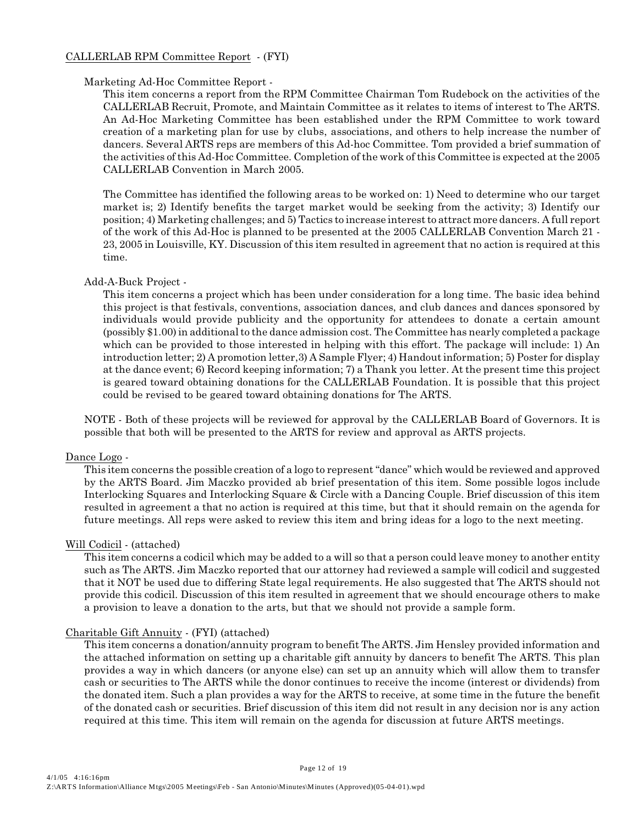#### CALLERLAB RPM Committee Report - (FYI)

#### Marketing Ad-Hoc Committee Report -

This item concerns a report from the RPM Committee Chairman Tom Rudebock on the activities of the CALLERLAB Recruit, Promote, and Maintain Committee as it relates to items of interest to The ARTS. An Ad-Hoc Marketing Committee has been established under the RPM Committee to work toward creation of a marketing plan for use by clubs, associations, and others to help increase the number of dancers. Several ARTS reps are members of this Ad-hoc Committee. Tom provided a brief summation of the activities of this Ad-Hoc Committee. Completion of the work of this Committee is expected at the 2005 CALLERLAB Convention in March 2005.

The Committee has identified the following areas to be worked on: 1) Need to determine who our target market is; 2) Identify benefits the target market would be seeking from the activity; 3) Identify our position; 4) Marketing challenges; and 5) Tactics to increase interest to attract more dancers. A full report of the work of this Ad-Hoc is planned to be presented at the 2005 CALLERLAB Convention March 21 - 23, 2005 in Louisville, KY. Discussion of this item resulted in agreement that no action is required at this time.

#### Add-A-Buck Project -

This item concerns a project which has been under consideration for a long time. The basic idea behind this project is that festivals, conventions, association dances, and club dances and dances sponsored by individuals would provide publicity and the opportunity for attendees to donate a certain amount (possibly \$1.00) in additional to the dance admission cost. The Committee has nearly completed a package which can be provided to those interested in helping with this effort. The package will include: 1) An introduction letter; 2) A promotion letter,3) A Sample Flyer; 4) Handout information; 5) Poster for display at the dance event; 6) Record keeping information; 7) a Thank you letter. At the present time this project is geared toward obtaining donations for the CALLERLAB Foundation. It is possible that this project could be revised to be geared toward obtaining donations for The ARTS.

NOTE - Both of these projects will be reviewed for approval by the CALLERLAB Board of Governors. It is possible that both will be presented to the ARTS for review and approval as ARTS projects.

#### Dance Logo -

This item concerns the possible creation of a logo to represent "dance" which would be reviewed and approved by the ARTS Board. Jim Maczko provided ab brief presentation of this item. Some possible logos include Interlocking Squares and Interlocking Square & Circle with a Dancing Couple. Brief discussion of this item resulted in agreement a that no action is required at this time, but that it should remain on the agenda for future meetings. All reps were asked to review this item and bring ideas for a logo to the next meeting.

#### Will Codicil - (attached)

This item concerns a codicil which may be added to a will so that a person could leave money to another entity such as The ARTS. Jim Maczko reported that our attorney had reviewed a sample will codicil and suggested that it NOT be used due to differing State legal requirements. He also suggested that The ARTS should not provide this codicil. Discussion of this item resulted in agreement that we should encourage others to make a provision to leave a donation to the arts, but that we should not provide a sample form.

#### Charitable Gift Annuity - (FYI) (attached)

This item concerns a donation/annuity program to benefit The ARTS. Jim Hensley provided information and the attached information on setting up a charitable gift annuity by dancers to benefit The ARTS. This plan provides a way in which dancers (or anyone else) can set up an annuity which will allow them to transfer cash or securities to The ARTS while the donor continues to receive the income (interest or dividends) from the donated item. Such a plan provides a way for the ARTS to receive, at some time in the future the benefit of the donated cash or securities. Brief discussion of this item did not result in any decision nor is any action required at this time. This item will remain on the agenda for discussion at future ARTS meetings.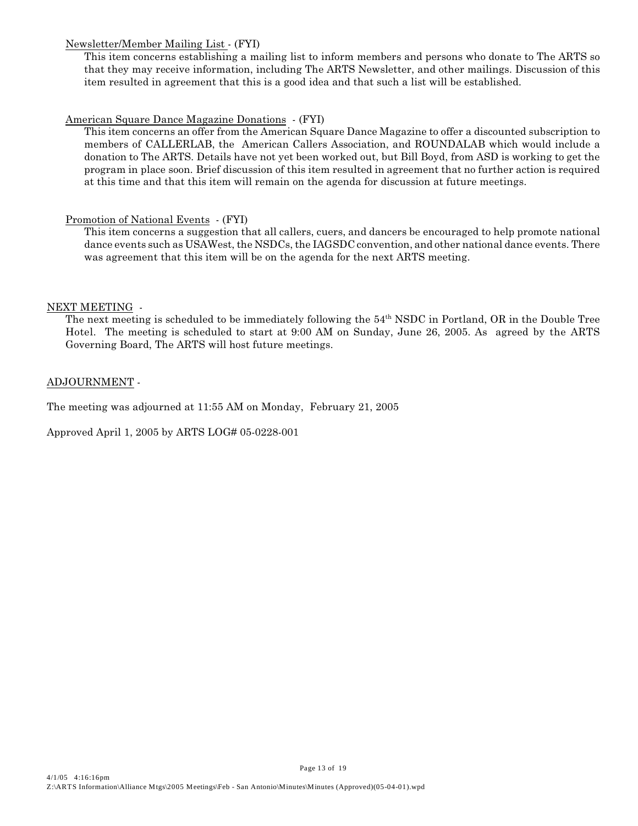#### Newsletter/Member Mailing List - (FYI)

This item concerns establishing a mailing list to inform members and persons who donate to The ARTS so that they may receive information, including The ARTS Newsletter, and other mailings. Discussion of this item resulted in agreement that this is a good idea and that such a list will be established.

#### American Square Dance Magazine Donations - (FYI)

This item concerns an offer from the American Square Dance Magazine to offer a discounted subscription to members of CALLERLAB, the American Callers Association, and ROUNDALAB which would include a donation to The ARTS. Details have not yet been worked out, but Bill Boyd, from ASD is working to get the program in place soon. Brief discussion of this item resulted in agreement that no further action is required at this time and that this item will remain on the agenda for discussion at future meetings.

#### Promotion of National Events - (FYI)

This item concerns a suggestion that all callers, cuers, and dancers be encouraged to help promote national dance events such as USAWest, the NSDCs, the IAGSDC convention, and other national dance events. There was agreement that this item will be on the agenda for the next ARTS meeting.

#### NEXT MEETING -

The next meeting is scheduled to be immediately following the  $54<sup>th</sup>$  NSDC in Portland, OR in the Double Tree Hotel. The meeting is scheduled to start at 9:00 AM on Sunday, June 26, 2005. As agreed by the ARTS Governing Board, The ARTS will host future meetings.

#### ADJOURNMENT -

The meeting was adjourned at 11:55 AM on Monday, February 21, 2005

Approved April 1, 2005 by ARTS LOG# 05-0228-001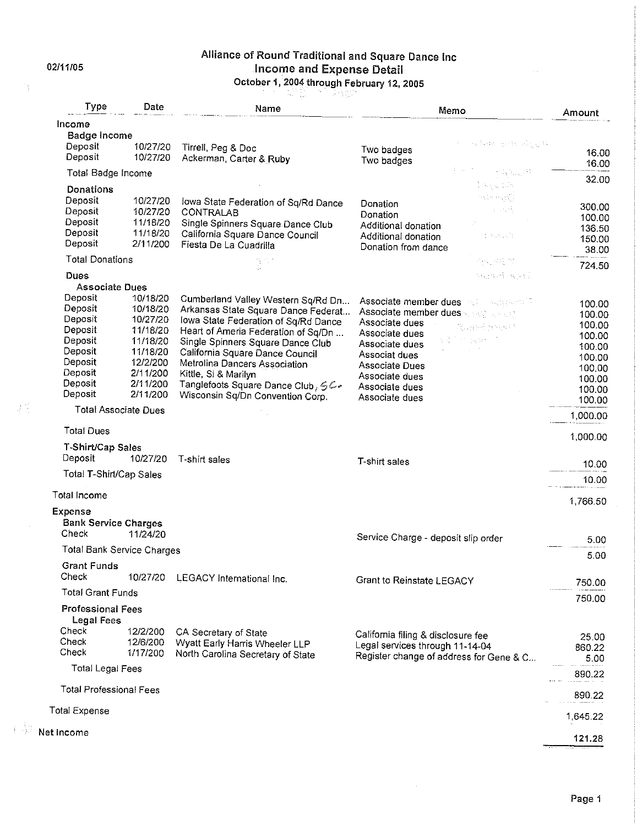02/11/05

 $\mathcal{O}(\frac{1}{2})$ 

# Alliance of Round Traditional and Square Dance Inc<br>Income and Expense Detail<br>October 1, 2004 through February 12, 2005

AN

| Income<br>Badge Income<br>andre en grote adgige vi<br>Deposit<br>10/27/20<br>Tirrell, Peg & Doc<br>Two badges<br>16.00<br>Deposit<br>10/27/20<br>Ackerman, Carter & Ruby<br>Two badges<br>Total Badge Income<br>.<br>이 사진 : 10 사이<br>Donations<br>nan mgo<br>Deposit<br>10/27/20<br>lowa State Federation of Sq/Rd Dance<br>Donation<br>300.00<br>计功能<br>Deposit<br>10/27/20<br>CONTRALAB<br>Donation<br>Deposit<br>11/18/20<br>Single Spinners Square Dance Club<br>Additional donation<br>136.50<br>Deposit<br>11/18/20<br>California Square Dance Council<br>Additional donation<br><b>CONSTRUCT</b><br>150.00<br>Deposit<br>2/11/200<br>Fiesta De La Cuadrilla<br>Donation from dance<br>38.00<br><b>Total Donations</b><br>行政 网络内<br>724.50<br>Dues<br>Sautofonja E<br><b>Associate Dues</b><br>Deposit<br>10/18/20<br>Cumberland Valley Western Sq/Rd Dn<br>Associate member dues and a support in<br>100.00<br>Deposit<br>10/18/20<br>Arkansas State Square Dance Federat<br>Associate member dues week as a pro-<br>100.00<br>Deposit<br>10/27/20<br>lowa State Federation of Sq/Rd Dance<br>Associate dues<br>100.00<br>Robert Bark (Monocono II)<br>Deposit<br>11/18/20<br>Heart of Ameria Federation of Sq/Dn<br>Associate dues<br>100.00<br>Deposit<br>11/18/20<br>Single Spinners Square Dance Club<br>Associate dues<br>100.00<br>Deposit<br>11/18/20<br>California Square Dance Council<br>Associat dues<br>100.00<br>Deposit<br>12/2/200<br>Metrolina Dancers Association<br>Associate Dues<br>100.00<br>Deposit<br>2/11/200<br>Kittle, Si & Marilyn<br>Associate dues<br>100.00<br>Deposit<br>2/11/200<br>Tanglefoots Square Dance Club, 5Co<br>Associate dues<br>100.00<br>2/11/200<br>Deposit<br>Wisconsin Sq/Dn Convention Corp.<br>Associate dues<br>100.00<br>4 S<br><b>Total Associate Dues</b><br>1,000.00<br><b>Total Dues</b><br>1,000.00<br>T-Shirt/Cap Sales<br>Deposit<br>10/27/20<br>T-shirt sales<br>T-shirt sales<br>10.00<br>Total T-Shirt/Cap Sales<br>10.00<br>Total Income<br>1,766.50<br><b>Expense</b><br><b>Bank Service Charges</b><br>Check<br>11/24/20<br>Service Charge - deposit slip order<br>5.00<br>Total Bank Service Charges<br>5.00<br><b>Grant Funds</b><br>Check<br>10/27/20<br>LEGACY International Inc.<br>Grant to Reinstate LEGACY<br>750.00<br><b>Total Grant Funds</b><br>750.00<br><b>Professional Fees</b><br><b>Legal Fees</b><br>Check<br>12/2/200<br>CA Secretary of State<br>California filing & disclosure fee<br>25.00<br>Check<br>12/6/200<br>Wyatt Early Harris Wheeler LLP<br>Legal services through 11-14-04<br>860.22<br>Check<br>1/17/200<br>North Carolina Secretary of State<br>Register change of address for Gene & C<br>5.00<br>Total Legal Fees<br>890.22<br><b>Total Professional Fees</b><br>890.22<br><b>Total Expense</b><br>1,645.22<br>科學<br>Net Income<br>121.28 | Type | Date<br>Name<br>Memo |  | Amount |        |
|-------------------------------------------------------------------------------------------------------------------------------------------------------------------------------------------------------------------------------------------------------------------------------------------------------------------------------------------------------------------------------------------------------------------------------------------------------------------------------------------------------------------------------------------------------------------------------------------------------------------------------------------------------------------------------------------------------------------------------------------------------------------------------------------------------------------------------------------------------------------------------------------------------------------------------------------------------------------------------------------------------------------------------------------------------------------------------------------------------------------------------------------------------------------------------------------------------------------------------------------------------------------------------------------------------------------------------------------------------------------------------------------------------------------------------------------------------------------------------------------------------------------------------------------------------------------------------------------------------------------------------------------------------------------------------------------------------------------------------------------------------------------------------------------------------------------------------------------------------------------------------------------------------------------------------------------------------------------------------------------------------------------------------------------------------------------------------------------------------------------------------------------------------------------------------------------------------------------------------------------------------------------------------------------------------------------------------------------------------------------------------------------------------------------------------------------------------------------------------------------------------------------------------------------------------------------------------------------------------------------------------------------------------------------------------------------------------------------------------------------------------------------------------------------------------------------------------------------------------|------|----------------------|--|--------|--------|
|                                                                                                                                                                                                                                                                                                                                                                                                                                                                                                                                                                                                                                                                                                                                                                                                                                                                                                                                                                                                                                                                                                                                                                                                                                                                                                                                                                                                                                                                                                                                                                                                                                                                                                                                                                                                                                                                                                                                                                                                                                                                                                                                                                                                                                                                                                                                                                                                                                                                                                                                                                                                                                                                                                                                                                                                                                                       |      |                      |  |        |        |
|                                                                                                                                                                                                                                                                                                                                                                                                                                                                                                                                                                                                                                                                                                                                                                                                                                                                                                                                                                                                                                                                                                                                                                                                                                                                                                                                                                                                                                                                                                                                                                                                                                                                                                                                                                                                                                                                                                                                                                                                                                                                                                                                                                                                                                                                                                                                                                                                                                                                                                                                                                                                                                                                                                                                                                                                                                                       |      |                      |  |        |        |
|                                                                                                                                                                                                                                                                                                                                                                                                                                                                                                                                                                                                                                                                                                                                                                                                                                                                                                                                                                                                                                                                                                                                                                                                                                                                                                                                                                                                                                                                                                                                                                                                                                                                                                                                                                                                                                                                                                                                                                                                                                                                                                                                                                                                                                                                                                                                                                                                                                                                                                                                                                                                                                                                                                                                                                                                                                                       |      |                      |  |        |        |
|                                                                                                                                                                                                                                                                                                                                                                                                                                                                                                                                                                                                                                                                                                                                                                                                                                                                                                                                                                                                                                                                                                                                                                                                                                                                                                                                                                                                                                                                                                                                                                                                                                                                                                                                                                                                                                                                                                                                                                                                                                                                                                                                                                                                                                                                                                                                                                                                                                                                                                                                                                                                                                                                                                                                                                                                                                                       |      |                      |  |        | 16.00  |
|                                                                                                                                                                                                                                                                                                                                                                                                                                                                                                                                                                                                                                                                                                                                                                                                                                                                                                                                                                                                                                                                                                                                                                                                                                                                                                                                                                                                                                                                                                                                                                                                                                                                                                                                                                                                                                                                                                                                                                                                                                                                                                                                                                                                                                                                                                                                                                                                                                                                                                                                                                                                                                                                                                                                                                                                                                                       |      |                      |  |        | 32.00  |
|                                                                                                                                                                                                                                                                                                                                                                                                                                                                                                                                                                                                                                                                                                                                                                                                                                                                                                                                                                                                                                                                                                                                                                                                                                                                                                                                                                                                                                                                                                                                                                                                                                                                                                                                                                                                                                                                                                                                                                                                                                                                                                                                                                                                                                                                                                                                                                                                                                                                                                                                                                                                                                                                                                                                                                                                                                                       |      |                      |  |        |        |
|                                                                                                                                                                                                                                                                                                                                                                                                                                                                                                                                                                                                                                                                                                                                                                                                                                                                                                                                                                                                                                                                                                                                                                                                                                                                                                                                                                                                                                                                                                                                                                                                                                                                                                                                                                                                                                                                                                                                                                                                                                                                                                                                                                                                                                                                                                                                                                                                                                                                                                                                                                                                                                                                                                                                                                                                                                                       |      |                      |  |        |        |
|                                                                                                                                                                                                                                                                                                                                                                                                                                                                                                                                                                                                                                                                                                                                                                                                                                                                                                                                                                                                                                                                                                                                                                                                                                                                                                                                                                                                                                                                                                                                                                                                                                                                                                                                                                                                                                                                                                                                                                                                                                                                                                                                                                                                                                                                                                                                                                                                                                                                                                                                                                                                                                                                                                                                                                                                                                                       |      |                      |  |        | 100.00 |
|                                                                                                                                                                                                                                                                                                                                                                                                                                                                                                                                                                                                                                                                                                                                                                                                                                                                                                                                                                                                                                                                                                                                                                                                                                                                                                                                                                                                                                                                                                                                                                                                                                                                                                                                                                                                                                                                                                                                                                                                                                                                                                                                                                                                                                                                                                                                                                                                                                                                                                                                                                                                                                                                                                                                                                                                                                                       |      |                      |  |        |        |
|                                                                                                                                                                                                                                                                                                                                                                                                                                                                                                                                                                                                                                                                                                                                                                                                                                                                                                                                                                                                                                                                                                                                                                                                                                                                                                                                                                                                                                                                                                                                                                                                                                                                                                                                                                                                                                                                                                                                                                                                                                                                                                                                                                                                                                                                                                                                                                                                                                                                                                                                                                                                                                                                                                                                                                                                                                                       |      |                      |  |        |        |
|                                                                                                                                                                                                                                                                                                                                                                                                                                                                                                                                                                                                                                                                                                                                                                                                                                                                                                                                                                                                                                                                                                                                                                                                                                                                                                                                                                                                                                                                                                                                                                                                                                                                                                                                                                                                                                                                                                                                                                                                                                                                                                                                                                                                                                                                                                                                                                                                                                                                                                                                                                                                                                                                                                                                                                                                                                                       |      |                      |  |        |        |
|                                                                                                                                                                                                                                                                                                                                                                                                                                                                                                                                                                                                                                                                                                                                                                                                                                                                                                                                                                                                                                                                                                                                                                                                                                                                                                                                                                                                                                                                                                                                                                                                                                                                                                                                                                                                                                                                                                                                                                                                                                                                                                                                                                                                                                                                                                                                                                                                                                                                                                                                                                                                                                                                                                                                                                                                                                                       |      |                      |  |        |        |
|                                                                                                                                                                                                                                                                                                                                                                                                                                                                                                                                                                                                                                                                                                                                                                                                                                                                                                                                                                                                                                                                                                                                                                                                                                                                                                                                                                                                                                                                                                                                                                                                                                                                                                                                                                                                                                                                                                                                                                                                                                                                                                                                                                                                                                                                                                                                                                                                                                                                                                                                                                                                                                                                                                                                                                                                                                                       |      |                      |  |        |        |
|                                                                                                                                                                                                                                                                                                                                                                                                                                                                                                                                                                                                                                                                                                                                                                                                                                                                                                                                                                                                                                                                                                                                                                                                                                                                                                                                                                                                                                                                                                                                                                                                                                                                                                                                                                                                                                                                                                                                                                                                                                                                                                                                                                                                                                                                                                                                                                                                                                                                                                                                                                                                                                                                                                                                                                                                                                                       |      |                      |  |        |        |
|                                                                                                                                                                                                                                                                                                                                                                                                                                                                                                                                                                                                                                                                                                                                                                                                                                                                                                                                                                                                                                                                                                                                                                                                                                                                                                                                                                                                                                                                                                                                                                                                                                                                                                                                                                                                                                                                                                                                                                                                                                                                                                                                                                                                                                                                                                                                                                                                                                                                                                                                                                                                                                                                                                                                                                                                                                                       |      |                      |  |        |        |
|                                                                                                                                                                                                                                                                                                                                                                                                                                                                                                                                                                                                                                                                                                                                                                                                                                                                                                                                                                                                                                                                                                                                                                                                                                                                                                                                                                                                                                                                                                                                                                                                                                                                                                                                                                                                                                                                                                                                                                                                                                                                                                                                                                                                                                                                                                                                                                                                                                                                                                                                                                                                                                                                                                                                                                                                                                                       |      |                      |  |        |        |
|                                                                                                                                                                                                                                                                                                                                                                                                                                                                                                                                                                                                                                                                                                                                                                                                                                                                                                                                                                                                                                                                                                                                                                                                                                                                                                                                                                                                                                                                                                                                                                                                                                                                                                                                                                                                                                                                                                                                                                                                                                                                                                                                                                                                                                                                                                                                                                                                                                                                                                                                                                                                                                                                                                                                                                                                                                                       |      |                      |  |        |        |
|                                                                                                                                                                                                                                                                                                                                                                                                                                                                                                                                                                                                                                                                                                                                                                                                                                                                                                                                                                                                                                                                                                                                                                                                                                                                                                                                                                                                                                                                                                                                                                                                                                                                                                                                                                                                                                                                                                                                                                                                                                                                                                                                                                                                                                                                                                                                                                                                                                                                                                                                                                                                                                                                                                                                                                                                                                                       |      |                      |  |        |        |
|                                                                                                                                                                                                                                                                                                                                                                                                                                                                                                                                                                                                                                                                                                                                                                                                                                                                                                                                                                                                                                                                                                                                                                                                                                                                                                                                                                                                                                                                                                                                                                                                                                                                                                                                                                                                                                                                                                                                                                                                                                                                                                                                                                                                                                                                                                                                                                                                                                                                                                                                                                                                                                                                                                                                                                                                                                                       |      |                      |  |        |        |
|                                                                                                                                                                                                                                                                                                                                                                                                                                                                                                                                                                                                                                                                                                                                                                                                                                                                                                                                                                                                                                                                                                                                                                                                                                                                                                                                                                                                                                                                                                                                                                                                                                                                                                                                                                                                                                                                                                                                                                                                                                                                                                                                                                                                                                                                                                                                                                                                                                                                                                                                                                                                                                                                                                                                                                                                                                                       |      |                      |  |        |        |
|                                                                                                                                                                                                                                                                                                                                                                                                                                                                                                                                                                                                                                                                                                                                                                                                                                                                                                                                                                                                                                                                                                                                                                                                                                                                                                                                                                                                                                                                                                                                                                                                                                                                                                                                                                                                                                                                                                                                                                                                                                                                                                                                                                                                                                                                                                                                                                                                                                                                                                                                                                                                                                                                                                                                                                                                                                                       |      |                      |  |        |        |
|                                                                                                                                                                                                                                                                                                                                                                                                                                                                                                                                                                                                                                                                                                                                                                                                                                                                                                                                                                                                                                                                                                                                                                                                                                                                                                                                                                                                                                                                                                                                                                                                                                                                                                                                                                                                                                                                                                                                                                                                                                                                                                                                                                                                                                                                                                                                                                                                                                                                                                                                                                                                                                                                                                                                                                                                                                                       |      |                      |  |        |        |
|                                                                                                                                                                                                                                                                                                                                                                                                                                                                                                                                                                                                                                                                                                                                                                                                                                                                                                                                                                                                                                                                                                                                                                                                                                                                                                                                                                                                                                                                                                                                                                                                                                                                                                                                                                                                                                                                                                                                                                                                                                                                                                                                                                                                                                                                                                                                                                                                                                                                                                                                                                                                                                                                                                                                                                                                                                                       |      |                      |  |        |        |
|                                                                                                                                                                                                                                                                                                                                                                                                                                                                                                                                                                                                                                                                                                                                                                                                                                                                                                                                                                                                                                                                                                                                                                                                                                                                                                                                                                                                                                                                                                                                                                                                                                                                                                                                                                                                                                                                                                                                                                                                                                                                                                                                                                                                                                                                                                                                                                                                                                                                                                                                                                                                                                                                                                                                                                                                                                                       |      |                      |  |        |        |
|                                                                                                                                                                                                                                                                                                                                                                                                                                                                                                                                                                                                                                                                                                                                                                                                                                                                                                                                                                                                                                                                                                                                                                                                                                                                                                                                                                                                                                                                                                                                                                                                                                                                                                                                                                                                                                                                                                                                                                                                                                                                                                                                                                                                                                                                                                                                                                                                                                                                                                                                                                                                                                                                                                                                                                                                                                                       |      |                      |  |        |        |
|                                                                                                                                                                                                                                                                                                                                                                                                                                                                                                                                                                                                                                                                                                                                                                                                                                                                                                                                                                                                                                                                                                                                                                                                                                                                                                                                                                                                                                                                                                                                                                                                                                                                                                                                                                                                                                                                                                                                                                                                                                                                                                                                                                                                                                                                                                                                                                                                                                                                                                                                                                                                                                                                                                                                                                                                                                                       |      |                      |  |        |        |
|                                                                                                                                                                                                                                                                                                                                                                                                                                                                                                                                                                                                                                                                                                                                                                                                                                                                                                                                                                                                                                                                                                                                                                                                                                                                                                                                                                                                                                                                                                                                                                                                                                                                                                                                                                                                                                                                                                                                                                                                                                                                                                                                                                                                                                                                                                                                                                                                                                                                                                                                                                                                                                                                                                                                                                                                                                                       |      |                      |  |        |        |
|                                                                                                                                                                                                                                                                                                                                                                                                                                                                                                                                                                                                                                                                                                                                                                                                                                                                                                                                                                                                                                                                                                                                                                                                                                                                                                                                                                                                                                                                                                                                                                                                                                                                                                                                                                                                                                                                                                                                                                                                                                                                                                                                                                                                                                                                                                                                                                                                                                                                                                                                                                                                                                                                                                                                                                                                                                                       |      |                      |  |        |        |
|                                                                                                                                                                                                                                                                                                                                                                                                                                                                                                                                                                                                                                                                                                                                                                                                                                                                                                                                                                                                                                                                                                                                                                                                                                                                                                                                                                                                                                                                                                                                                                                                                                                                                                                                                                                                                                                                                                                                                                                                                                                                                                                                                                                                                                                                                                                                                                                                                                                                                                                                                                                                                                                                                                                                                                                                                                                       |      |                      |  |        |        |
|                                                                                                                                                                                                                                                                                                                                                                                                                                                                                                                                                                                                                                                                                                                                                                                                                                                                                                                                                                                                                                                                                                                                                                                                                                                                                                                                                                                                                                                                                                                                                                                                                                                                                                                                                                                                                                                                                                                                                                                                                                                                                                                                                                                                                                                                                                                                                                                                                                                                                                                                                                                                                                                                                                                                                                                                                                                       |      |                      |  |        |        |
|                                                                                                                                                                                                                                                                                                                                                                                                                                                                                                                                                                                                                                                                                                                                                                                                                                                                                                                                                                                                                                                                                                                                                                                                                                                                                                                                                                                                                                                                                                                                                                                                                                                                                                                                                                                                                                                                                                                                                                                                                                                                                                                                                                                                                                                                                                                                                                                                                                                                                                                                                                                                                                                                                                                                                                                                                                                       |      |                      |  |        |        |
|                                                                                                                                                                                                                                                                                                                                                                                                                                                                                                                                                                                                                                                                                                                                                                                                                                                                                                                                                                                                                                                                                                                                                                                                                                                                                                                                                                                                                                                                                                                                                                                                                                                                                                                                                                                                                                                                                                                                                                                                                                                                                                                                                                                                                                                                                                                                                                                                                                                                                                                                                                                                                                                                                                                                                                                                                                                       |      |                      |  |        |        |
|                                                                                                                                                                                                                                                                                                                                                                                                                                                                                                                                                                                                                                                                                                                                                                                                                                                                                                                                                                                                                                                                                                                                                                                                                                                                                                                                                                                                                                                                                                                                                                                                                                                                                                                                                                                                                                                                                                                                                                                                                                                                                                                                                                                                                                                                                                                                                                                                                                                                                                                                                                                                                                                                                                                                                                                                                                                       |      |                      |  |        |        |
|                                                                                                                                                                                                                                                                                                                                                                                                                                                                                                                                                                                                                                                                                                                                                                                                                                                                                                                                                                                                                                                                                                                                                                                                                                                                                                                                                                                                                                                                                                                                                                                                                                                                                                                                                                                                                                                                                                                                                                                                                                                                                                                                                                                                                                                                                                                                                                                                                                                                                                                                                                                                                                                                                                                                                                                                                                                       |      |                      |  |        |        |
|                                                                                                                                                                                                                                                                                                                                                                                                                                                                                                                                                                                                                                                                                                                                                                                                                                                                                                                                                                                                                                                                                                                                                                                                                                                                                                                                                                                                                                                                                                                                                                                                                                                                                                                                                                                                                                                                                                                                                                                                                                                                                                                                                                                                                                                                                                                                                                                                                                                                                                                                                                                                                                                                                                                                                                                                                                                       |      |                      |  |        |        |
|                                                                                                                                                                                                                                                                                                                                                                                                                                                                                                                                                                                                                                                                                                                                                                                                                                                                                                                                                                                                                                                                                                                                                                                                                                                                                                                                                                                                                                                                                                                                                                                                                                                                                                                                                                                                                                                                                                                                                                                                                                                                                                                                                                                                                                                                                                                                                                                                                                                                                                                                                                                                                                                                                                                                                                                                                                                       |      |                      |  |        |        |
|                                                                                                                                                                                                                                                                                                                                                                                                                                                                                                                                                                                                                                                                                                                                                                                                                                                                                                                                                                                                                                                                                                                                                                                                                                                                                                                                                                                                                                                                                                                                                                                                                                                                                                                                                                                                                                                                                                                                                                                                                                                                                                                                                                                                                                                                                                                                                                                                                                                                                                                                                                                                                                                                                                                                                                                                                                                       |      |                      |  |        |        |
|                                                                                                                                                                                                                                                                                                                                                                                                                                                                                                                                                                                                                                                                                                                                                                                                                                                                                                                                                                                                                                                                                                                                                                                                                                                                                                                                                                                                                                                                                                                                                                                                                                                                                                                                                                                                                                                                                                                                                                                                                                                                                                                                                                                                                                                                                                                                                                                                                                                                                                                                                                                                                                                                                                                                                                                                                                                       |      |                      |  |        |        |
|                                                                                                                                                                                                                                                                                                                                                                                                                                                                                                                                                                                                                                                                                                                                                                                                                                                                                                                                                                                                                                                                                                                                                                                                                                                                                                                                                                                                                                                                                                                                                                                                                                                                                                                                                                                                                                                                                                                                                                                                                                                                                                                                                                                                                                                                                                                                                                                                                                                                                                                                                                                                                                                                                                                                                                                                                                                       |      |                      |  |        |        |
|                                                                                                                                                                                                                                                                                                                                                                                                                                                                                                                                                                                                                                                                                                                                                                                                                                                                                                                                                                                                                                                                                                                                                                                                                                                                                                                                                                                                                                                                                                                                                                                                                                                                                                                                                                                                                                                                                                                                                                                                                                                                                                                                                                                                                                                                                                                                                                                                                                                                                                                                                                                                                                                                                                                                                                                                                                                       |      |                      |  |        |        |
|                                                                                                                                                                                                                                                                                                                                                                                                                                                                                                                                                                                                                                                                                                                                                                                                                                                                                                                                                                                                                                                                                                                                                                                                                                                                                                                                                                                                                                                                                                                                                                                                                                                                                                                                                                                                                                                                                                                                                                                                                                                                                                                                                                                                                                                                                                                                                                                                                                                                                                                                                                                                                                                                                                                                                                                                                                                       |      |                      |  |        |        |
|                                                                                                                                                                                                                                                                                                                                                                                                                                                                                                                                                                                                                                                                                                                                                                                                                                                                                                                                                                                                                                                                                                                                                                                                                                                                                                                                                                                                                                                                                                                                                                                                                                                                                                                                                                                                                                                                                                                                                                                                                                                                                                                                                                                                                                                                                                                                                                                                                                                                                                                                                                                                                                                                                                                                                                                                                                                       |      |                      |  |        |        |
|                                                                                                                                                                                                                                                                                                                                                                                                                                                                                                                                                                                                                                                                                                                                                                                                                                                                                                                                                                                                                                                                                                                                                                                                                                                                                                                                                                                                                                                                                                                                                                                                                                                                                                                                                                                                                                                                                                                                                                                                                                                                                                                                                                                                                                                                                                                                                                                                                                                                                                                                                                                                                                                                                                                                                                                                                                                       |      |                      |  |        |        |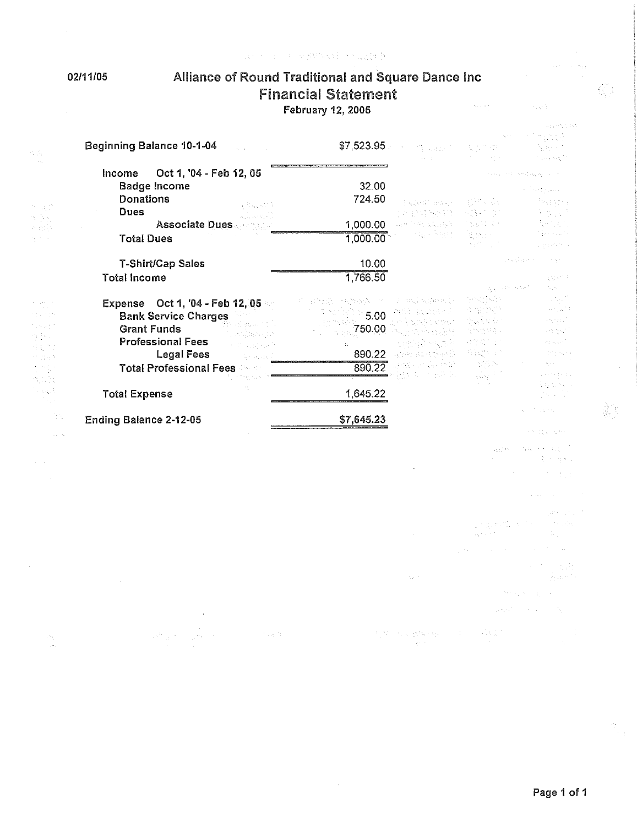#### ARTICLE CONSTRUCTION

02/11/05

 $\sim 2$  $\bar{\nu}_\mathrm{b}$ 

 $\eta \simeq 1$ 

a salah<br>Mantan roka Er

Andr  $\hat{L}_{\text{2D}}(\vec{x})$ 

 $\hat{p}^{\dagger}$  and

 $\tau_{\rm eff}$ 

 $\sim$  10  $\mu$ 

 $\sim \gamma_{\rm Pl}$  $\zeta_{\rm{c}}$  ,  $\zeta_{\rm{c}}$ 

 $\sim 10^7$ 

 $\langle \cdot \rangle_{\rm log}$  as

 $\mathcal{L}$ 

 $\label{eq:Ricci} \mathcal{B}^{\mathcal{R}}(a)^{\frac{1}{2}}=\frac{1}{2}\sum_{i=1}^{n}a_{i}^{2}$ 

#### Alliance of Round Traditional and Square Dance Inc **Financial Statement**  $\alpha_{\rm s}$  ,  $\beta_{\rm s}$ February 12, 2005

| Beginning Balance 10-1-04                                                                                                                              | \$7,523.95               | filmada                                                 |                                           | 医复合植物体                                      |
|--------------------------------------------------------------------------------------------------------------------------------------------------------|--------------------------|---------------------------------------------------------|-------------------------------------------|---------------------------------------------|
| Oct 1, '04 - Feb 12, 05<br>Income                                                                                                                      |                          |                                                         |                                           | says of white products                      |
| <b>Badge Income</b><br>Donations<br>o dagoat i                                                                                                         | 32.00<br>724.50          | Page di Peaksys                                         | 的物理学                                      |                                             |
| Dues<br><b>Associate Dues</b><br><b>Total Dues</b>                                                                                                     | 1,000.00<br>1,000.00     | 1개 1개 남자 6개<br>and the standard<br>세인의 원립한              | i Kalifornia<br><b>Bind</b>               |                                             |
|                                                                                                                                                        | 10.00                    |                                                         |                                           | Light attachma<br>unasieren<br>大学           |
| T-Shirt/Cap Sales<br><b>Total Income</b>                                                                                                               | 1,766.50                 |                                                         | <b>Alternative</b>                        | 35377<br>$\gamma_{\rm c1}$ $\gamma_{\rm c}$ |
| Expense Oct 1, '04 - Feb 12, 05<br><b>Bank Service Charges</b><br><b>Grant Funds</b><br><b>Professional Fees</b><br>as providents<br><b>Legal Fees</b> | 5.00<br>750.00<br>890.22 | Fortunation (1)<br>Antonia<br>antik Sora<br>法安德 医软皮管麻醉法 | 花乳やい                                      | e (1973)<br>Profite<br>en tra<br>3013537    |
| la kola juga la<br><b>Total Professional Fees</b>                                                                                                      | 890.22                   | Linds - Strike 파괴<br>보도 시골에도                            | 표정의<br>s está                             | 经转变 计划                                      |
| $\mathcal{M}_{\mathcal{M}}$<br><b>Total Expense</b>                                                                                                    | 1,645.22                 |                                                         |                                           | je u k                                      |
| Ending Balance 2-12-05                                                                                                                                 | \$7,645.23               |                                                         |                                           | in summa                                    |
|                                                                                                                                                        |                          |                                                         | $\sigma_{\rm{B}} \sigma_{\rm{e}}^{2}$ and | 지역 그는 아직 장애                                 |

 $\sim 10^{11}$  and  $\sim 10^{11}$  and  $\sim 10^{11}$ 

 $\sim 100$ 

意

 $\langle \tau_{\rm eff} \rangle$  ,  $\tau_{\rm eff}$ 

 $\langle \cdot \rangle_{\mathcal{A}}(\mathcal{X})$ 

 $\label{eq:2.1} \begin{split} \mathcal{D}^{(1)}(z) &= \mathcal{D}^{(1)}(z) \mathcal{D}^{(1)}(z) \mathcal{D}^{(1)}(z) \\ &= \mathcal{D}^{(1)}(z) \mathcal{D}^{(1)}(z) \mathcal{D}^{(1)}(z) = \mathcal{D}^{(1)}(z) \mathcal{D}^{(1)}(z) \\ &= \mathcal{D}^{(1)}(z) \mathcal{D}^{(1)}(z) \mathcal{D}^{(1)}(z) \mathcal{D}^{(1)}(z) \mathcal{D}^{(1)}(z) \mathcal{D}^{(1)}(z) \mathcal{D$ 

 $\label{eq:2} \begin{split} \mathcal{A}^{(1)} & = \mathcal{A}^{(1)} \mathcal{A}^{(1)} \mathcal{A}^{(1)} \mathcal{A}^{(1)} \mathcal{A}^{(1)} \mathcal{A}^{(1)} \mathcal{A}^{(1)} \mathcal{A}^{(1)} \mathcal{A}^{(1)} \mathcal{A}^{(1)} \mathcal{A}^{(1)} \mathcal{A}^{(1)} \mathcal{A}^{(1)} \mathcal{A}^{(1)} \mathcal{A}^{(1)} \mathcal{A}^{(1)} \mathcal{A}^{(1)} \mathcal{A}^{(1)} \mathcal{A}^{(1)} \mathcal{A}$  $\tau_{\rm gas}$  .

 $\label{eq:1} \mathcal{O}(\mathcal{O}(\mathcal{O}_1, \mathcal{O}_2, \mathcal{O}_1)) \times \mathcal{O}(\mathcal{O}_2) \times \mathcal{O}(\mathcal{O}_2)$ 

 $\label{eq:1} \mathcal{F}_1(\Sigma) = \mathcal{F}_2(\mathcal{L}(\Sigma), \mathcal{F}_2) = \mathcal{F}_1(\mathcal{F}_1) = \mathcal{F}_1(\Sigma)$ Siyaan

**就?** 

 $\omega_{\rm eff}^{\rm eq}$ i<br>Har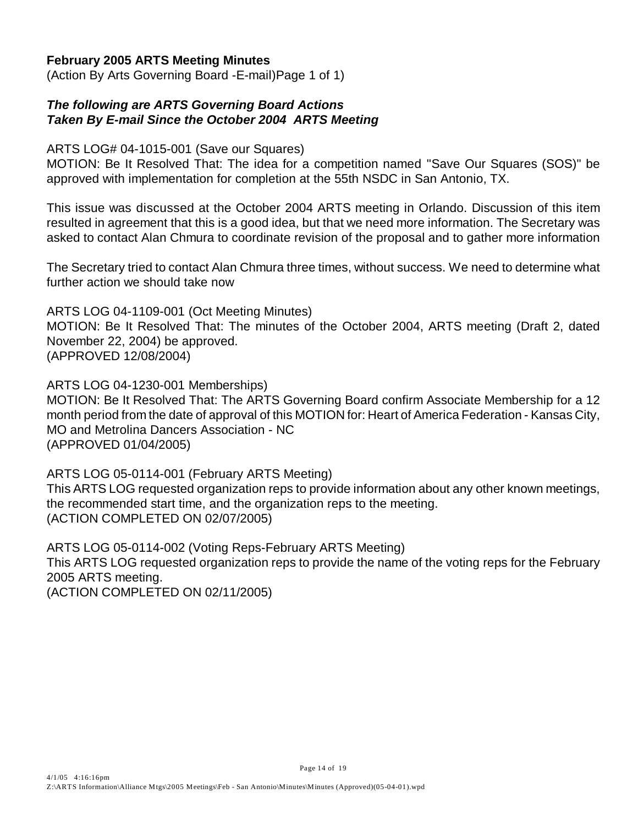(Action By Arts Governing Board -E-mail)Page 1 of 1)

## *The following are ARTS Governing Board Actions Taken By E-mail Since the October 2004 ARTS Meeting*

ARTS LOG# 04-1015-001 (Save our Squares)

MOTION: Be It Resolved That: The idea for a competition named "Save Our Squares (SOS)" be approved with implementation for completion at the 55th NSDC in San Antonio, TX.

This issue was discussed at the October 2004 ARTS meeting in Orlando. Discussion of this item resulted in agreement that this is a good idea, but that we need more information. The Secretary was asked to contact Alan Chmura to coordinate revision of the proposal and to gather more information

The Secretary tried to contact Alan Chmura three times, without success. We need to determine what further action we should take now

ARTS LOG 04-1109-001 (Oct Meeting Minutes)

MOTION: Be It Resolved That: The minutes of the October 2004, ARTS meeting (Draft 2, dated November 22, 2004) be approved. (APPROVED 12/08/2004)

ARTS LOG 04-1230-001 Memberships)

MOTION: Be It Resolved That: The ARTS Governing Board confirm Associate Membership for a 12 month period from the date of approval of this MOTION for: Heart of America Federation - Kansas City, MO and Metrolina Dancers Association - NC (APPROVED 01/04/2005)

ARTS LOG 05-0114-001 (February ARTS Meeting)

This ARTS LOG requested organization reps to provide information about any other known meetings, the recommended start time, and the organization reps to the meeting. (ACTION COMPLETED ON 02/07/2005)

ARTS LOG 05-0114-002 (Voting Reps-February ARTS Meeting) This ARTS LOG requested organization reps to provide the name of the voting reps for the February 2005 ARTS meeting.

(ACTION COMPLETED ON 02/11/2005)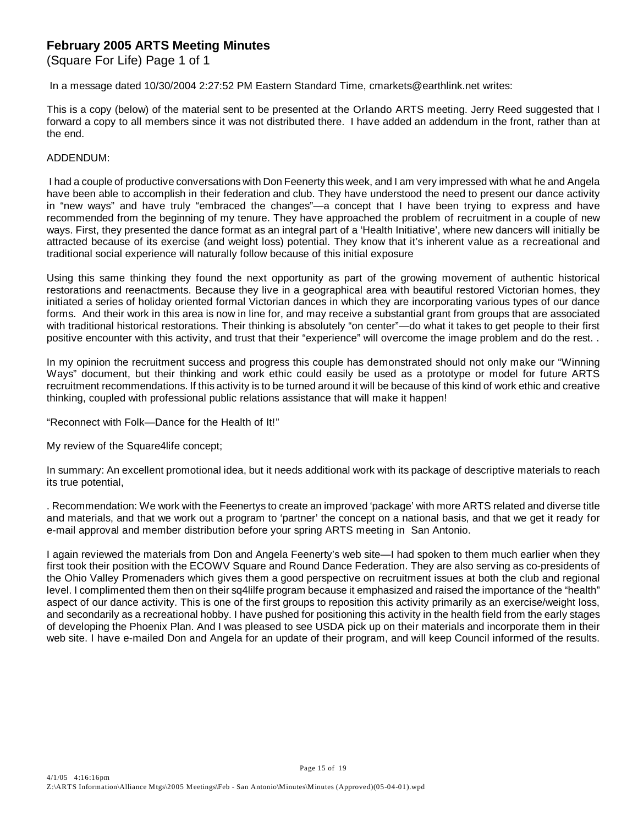(Square For Life) Page 1 of 1

In a message dated 10/30/2004 2:27:52 PM Eastern Standard Time, cmarkets@earthlink.net writes:

This is a copy (below) of the material sent to be presented at the Orlando ARTS meeting. Jerry Reed suggested that I forward a copy to all members since it was not distributed there. I have added an addendum in the front, rather than at the end.

#### ADDENDUM:

 I had a couple of productive conversations with Don Feenerty this week, and I am very impressed with what he and Angela have been able to accomplish in their federation and club. They have understood the need to present our dance activity in "new ways" and have truly "embraced the changes"—a concept that I have been trying to express and have recommended from the beginning of my tenure. They have approached the problem of recruitment in a couple of new ways. First, they presented the dance format as an integral part of a 'Health Initiative', where new dancers will initially be attracted because of its exercise (and weight loss) potential. They know that it's inherent value as a recreational and traditional social experience will naturally follow because of this initial exposure

Using this same thinking they found the next opportunity as part of the growing movement of authentic historical restorations and reenactments. Because they live in a geographical area with beautiful restored Victorian homes, they initiated a series of holiday oriented formal Victorian dances in which they are incorporating various types of our dance forms. And their work in this area is now in line for, and may receive a substantial grant from groups that are associated with traditional historical restorations. Their thinking is absolutely "on center"—do what it takes to get people to their first positive encounter with this activity, and trust that their "experience" will overcome the image problem and do the rest. .

In my opinion the recruitment success and progress this couple has demonstrated should not only make our "Winning Ways" document, but their thinking and work ethic could easily be used as a prototype or model for future ARTS recruitment recommendations. If this activity is to be turned around it will be because of this kind of work ethic and creative thinking, coupled with professional public relations assistance that will make it happen!

"Reconnect with Folk—Dance for the Health of It!"

My review of the Square4life concept;

In summary: An excellent promotional idea, but it needs additional work with its package of descriptive materials to reach its true potential,

. Recommendation: We work with the Feenertys to create an improved 'package' with more ARTS related and diverse title and materials, and that we work out a program to 'partner' the concept on a national basis, and that we get it ready for e-mail approval and member distribution before your spring ARTS meeting in San Antonio.

I again reviewed the materials from Don and Angela Feenerty's web site—I had spoken to them much earlier when they first took their position with the ECOWV Square and Round Dance Federation. They are also serving as co-presidents of the Ohio Valley Promenaders which gives them a good perspective on recruitment issues at both the club and regional level. I complimented them then on their sq4lilfe program because it emphasized and raised the importance of the "health" aspect of our dance activity. This is one of the first groups to reposition this activity primarily as an exercise/weight loss, and secondarily as a recreational hobby. I have pushed for positioning this activity in the health field from the early stages of developing the Phoenix Plan. And I was pleased to see USDA pick up on their materials and incorporate them in their web site. I have e-mailed Don and Angela for an update of their program, and will keep Council informed of the results.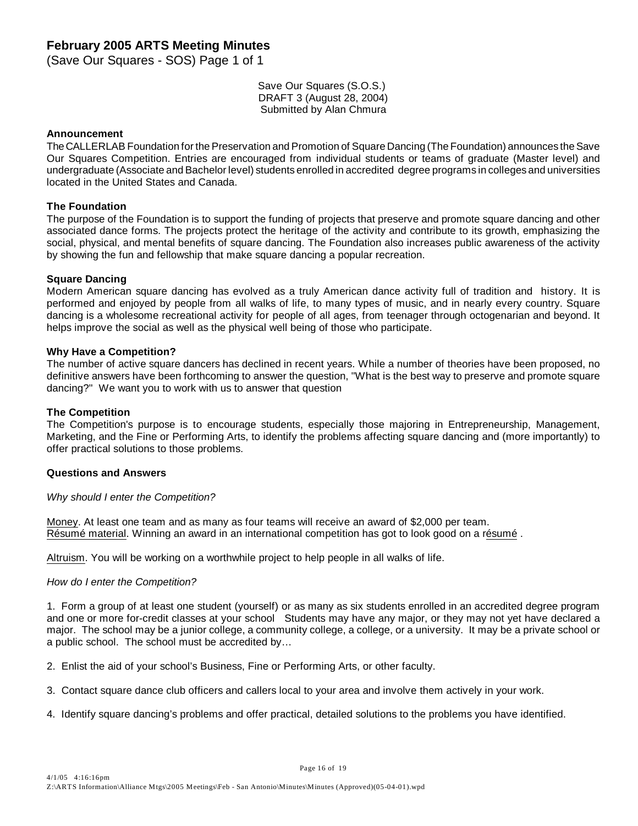(Save Our Squares - SOS) Page 1 of 1

Save Our Squares (S.O.S.) DRAFT 3 (August 28, 2004) Submitted by Alan Chmura

#### **Announcement**

The CALLERLAB Foundation for the Preservation and Promotion of Square Dancing (The Foundation) announces the Save Our Squares Competition. Entries are encouraged from individual students or teams of graduate (Master level) and undergraduate (Associate and Bachelor level) students enrolled in accredited degree programs in colleges and universities located in the United States and Canada.

#### **The Foundation**

The purpose of the Foundation is to support the funding of projects that preserve and promote square dancing and other associated dance forms. The projects protect the heritage of the activity and contribute to its growth, emphasizing the social, physical, and mental benefits of square dancing. The Foundation also increases public awareness of the activity by showing the fun and fellowship that make square dancing a popular recreation.

#### **Square Dancing**

Modern American square dancing has evolved as a truly American dance activity full of tradition and history. It is performed and enjoyed by people from all walks of life, to many types of music, and in nearly every country. Square dancing is a wholesome recreational activity for people of all ages, from teenager through octogenarian and beyond. It helps improve the social as well as the physical well being of those who participate.

#### **Why Have a Competition?**

The number of active square dancers has declined in recent years. While a number of theories have been proposed, no definitive answers have been forthcoming to answer the question, "What is the best way to preserve and promote square dancing?" We want you to work with us to answer that question

#### **The Competition**

The Competition's purpose is to encourage students, especially those majoring in Entrepreneurship, Management, Marketing, and the Fine or Performing Arts, to identify the problems affecting square dancing and (more importantly) to offer practical solutions to those problems.

#### **Questions and Answers**

#### *Why should I enter the Competition?*

Money. At least one team and as many as four teams will receive an award of \$2,000 per team. Résumé material. Winning an award in an international competition has got to look good on a résumé .

Altruism. You will be working on a worthwhile project to help people in all walks of life.

#### *How do I enter the Competition?*

1. Form a group of at least one student (yourself) or as many as six students enrolled in an accredited degree program and one or more for-credit classes at your school Students may have any major, or they may not yet have declared a major. The school may be a junior college, a community college, a college, or a university. It may be a private school or a public school. The school must be accredited by…

2. Enlist the aid of your school's Business, Fine or Performing Arts, or other faculty.

- 3. Contact square dance club officers and callers local to your area and involve them actively in your work.
- 4. Identify square dancing's problems and offer practical, detailed solutions to the problems you have identified.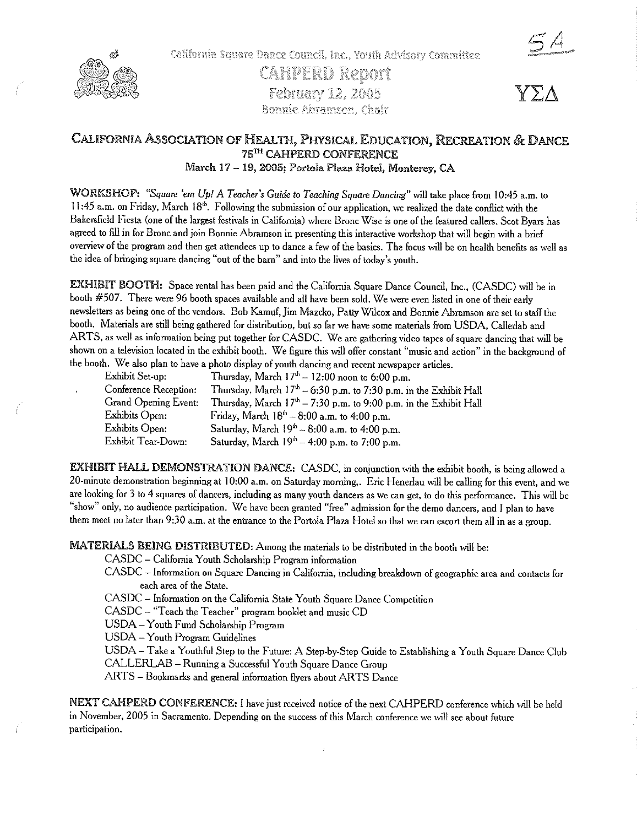

California Square Dance Council, Inc., Youth Advisory Committee

CAHPERD Report February 12, 2005 Bonnie Abramson, Chair

YEA

#### California Association of Health, Physical Education, Recreation & Dance 75<sup>TH</sup> CAHPERD CONFERENCE March 17 - 19, 2005; Portola Plaza Hotel, Monterey, CA

WORKSHOP: "Square 'em Up! A Teacher's Guide to Teaching Square Dancing" will take place from 10:45 a.m. to 11:45 a.m. on Friday, March 18<sup>th</sup>. Following the submission of our application, we realized the date conflict with the Bakersfield Fiesta (one of the largest festivals in California) where Bronc Wise is one of the featured callers. Scot Byars has agreed to fill in for Bronc and join Bonnie Abramson in presenting this interactive workshop that will begin with a brief overview of the program and then get attendees up to dance a few of the basics. The focus will be on health benefits as well as the idea of bringing square dancing "out of the barn" and into the lives of today's youth.

EXHIBIT BOOTH: Space rental has been paid and the California Square Dance Council, Inc., (CASDC) will be in booth #507. There were 96 booth spaces available and all have been sold. We were even listed in one of their early newsletters as being one of the vendors. Bob Kamuf, Jim Mazcko, Patty Wilcox and Bonnie Abramson are set to staff the booth. Materials are still being gathered for distribution, but so far we have some materials from USDA, Callerlab and ARTS, as well as information being put together for CASDC. We are gathering video tapes of square dancing that will be shown on a television located in the exhibit booth. We figure this will offer constant "music and action" in the background of the booth. We also plan to have a photo display of youth dancing and recent newspaper articles.

| Exhibit Set-up:       | Thursday, March $17th - 12:00$ noon to 6:00 p.m.                              |
|-----------------------|-------------------------------------------------------------------------------|
| Conference Reception: | Thursday, March $17th - 6:30$ p.m. to 7:30 p.m. in the Exhibit Hall           |
| Grand Opening Event:  | Thursday, March 17 <sup>th</sup> – 7:30 p.m. to 9:00 p.m. in the Exhibit Hall |
| Exhibits Open:        | Friday, March $18^h - 8:00$ a.m. to 4:00 p.m.                                 |
| <b>Exhibits Open:</b> | Saturday, March $19^{\text{th}} - 8:00$ a.m. to 4:00 p.m.                     |
| Exhibit Tear Down:    | Saturday, March $19^{th} - 4:00$ p.m. to 7:00 p.m.                            |

EXHIBIT HALL DEMONSTRATION DANCE: CASDC, in conjunction with the exhibit booth, is being allowed a 20-minute demonstration beginning at 10:00 a.m. on Saturday morning. Eric Henerlau will be calling for this event, and we are looking for 3 to 4 squares of dancers, including as many youth dancers as we can get, to do this performance. This will be "show" only, no audience participation. We have been granted "free" admission for the demo dancers, and I plan to have them meet no later than 9:30 a.m. at the entrance to the Portola Plaza Hotel so that we can escort them all in as a group.

MATERIALS BEING DISTRIBUTED: Among the materials to be distributed in the booth will be:

CASDC - California Youth Scholarship Program information

CASDC - Information on Square Dancing in California, including breakdown of geographic area and contacts for each area of the State.

CASDC - Information on the California State Youth Square Dance Competition

CASDC - "Teach the Teacher" program booklet and music CD

USDA - Youth Fund Scholarship Program

USDA - Youth Program Guidelines

USDA - Take a Youthful Step to the Future: A Step-by-Step Guide to Establishing a Youth Square Dance Club CALLERLAB – Running a Successful Youth Square Dance Group

ARTS – Bookmarks and general information flyers about ARTS Dance

NEXT CAHPERD CONFERENCE: I have just received notice of the next CAHPERD conference which will be held in November, 2005 in Sacramento. Depending on the success of this March conference we will see about future participation.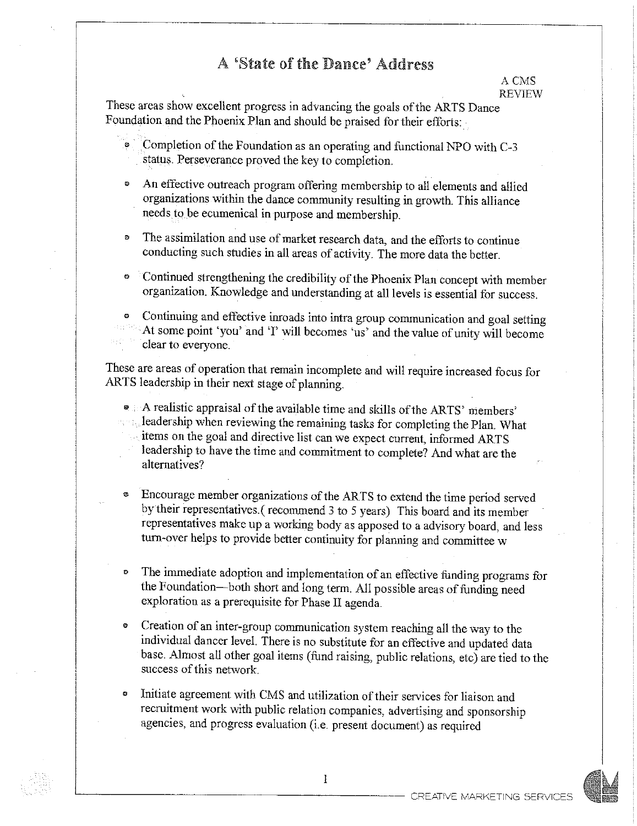## A 'State of the Dance' Address

A CMS **REVIEW** 

These areas show excellent progress in advancing the goals of the ARTS Dance Foundation and the Phoenix Plan and should be praised for their efforts:

- $\bullet$ Completion of the Foundation as an operating and functional NPO with C-3 status. Perseverance proved the key to completion.
- An effective outreach program offering membership to all elements and allied B organizations within the dance community resulting in growth. This alliance needs to be ecumenical in purpose and membership.
- The assimilation and use of market research data, and the efforts to continue conducting such studies in all areas of activity. The more data the better.
- Continued strengthening the credibility of the Phoenix Plan concept with member organization. Knowledge and understanding at all levels is essential for success.

Continuing and effective inroads into intra group communication and goal setting At some point 'you' and 'I' will becomes 'us' and the value of unity will become clear to everyone.

These are areas of operation that remain incomplete and will require increased focus for ARTS leadership in their next stage of planning.

- A realistic appraisal of the available time and skills of the ARTS' members'
- and leadership when reviewing the remaining tasks for completing the Plan. What items on the goal and directive list can we expect current, informed ARTS leadership to have the time and commitment to complete? And what are the alternatives?
- Encourage member organizations of the ARTS to extend the time period served e by their representatives. (recommend 3 to 5 years) This board and its member representatives make up a working body as apposed to a advisory board, and less turn-over helps to provide better continuity for planning and committee w
- The immediate adoption and implementation of an effective funding programs for Ð the Foundation-both short and long term. All possible areas of funding need exploration as a prerequisite for Phase II agenda.
- Creation of an inter-group communication system reaching all the way to the individual dancer level. There is no substitute for an effective and updated data base. Almost all other goal items (fund raising, public relations, etc) are tied to the success of this network.

Initiate agreement with CMS and utilization of their services for liaison and recruitment work with public relation companies, advertising and sponsorship agencies, and progress evaluation (i.e. present document) as required

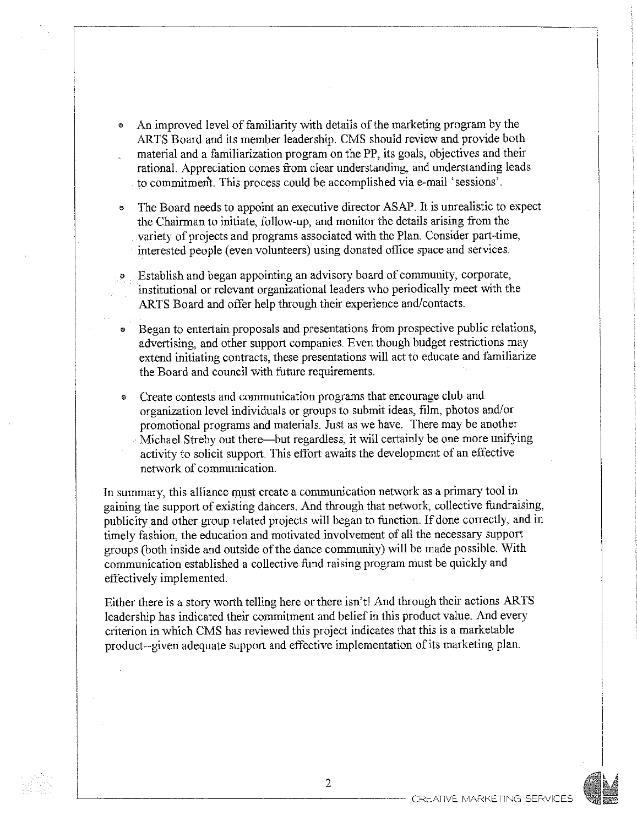An improved level of familiarity with details of the marketing program by the ARTS Board and its member leadership. CMS should review and provide both material and a familiarization program on the PP, its goals, objectives and their rational. Appreciation comes from clear understanding, and understanding leads to commitment. This process could be accomplished via e-mail 'sessions'.

The Board needs to appoint an executive director ASAP. It is unrealistic to expect the Chairman to initiate, follow-up, and monitor the details arising from the variety of projects and programs associated with the Plan. Consider part-time, interested people (even volunteers) using donated office space and services.

Establish and began appointing an advisory board of community, corporate, institutional or relevant organizational leaders who periodically meet with the ARTS Board and offer help through their experience and/contacts.

Began to entertain proposals and presentations from prospective public relations, advertising, and other support companies. Even though budget restrictions may extend initiating contracts, these presentations will act to educate and familiarize the Board and council with future requirements.

Create contests and communication programs that encourage club and organization level individuals or groups to submit ideas, film, photos and/or promotional programs and materials. Just as we have. There may be another Michael Streby out there—but regardless, it will certainly be one more unifying activity to solicit support. This effort awaits the development of an effective network of communication.

In summary, this alliance must create a communication network as a primary tool in gaining the support of existing dancers. And through that network, collective fundraising, publicity and other group related projects will began to function. If done correctly, and in timely fashion, the education and motivated involvement of all the necessary support groups (both inside and outside of the dance community) will be made possible. With communication established a collective fund raising program must be quickly and effectively implemented.

Either there is a story worth telling here or there isn't! And through their actions ARTS leadership has indicated their commitment and belief in this product value. And every criterion in which CMS has reviewed this project indicates that this is a marketable product-given adequate support and effective implementation of its marketing plan.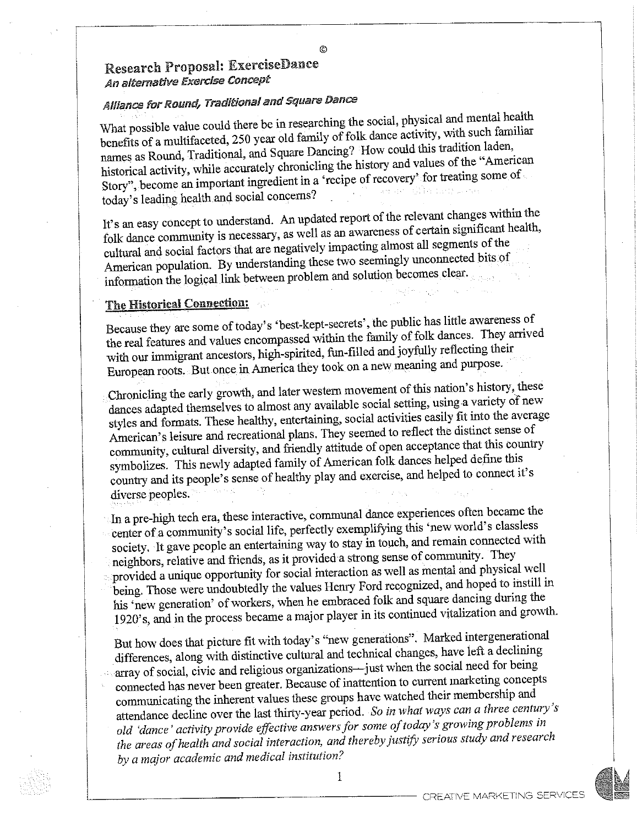## **Research Proposal: ExerciseDance** An alternative Exercise Concept

# Alliance for Round, Traditional and Square Dance

What possible value could there be in researching the social, physical and mental health benefits of a multifaceted, 250 year old family of folk dance activity, with such familiar names as Round, Traditional, and Square Dancing? How could this tradition laden, historical activity, while accurately chronicling the history and values of the "American Story", become an important ingredient in a 'recipe of recovery' for treating some of today's leading health and social concerns?

It's an easy concept to understand. An updated report of the relevant changes within the folk dance community is necessary, as well as an awareness of certain significant health, cultural and social factors that are negatively impacting almost all segments of the American population. By understanding these two seemingly unconnected bits of information the logical link between problem and solution becomes clear.

## The Historical Connection:

Because they are some of today's 'best-kept-secrets', the public has little awareness of the real features and values encompassed within the family of folk dances. They arrived with our immigrant ancestors, high-spirited, fun-filled and joyfully reflecting their European roots. But once in America they took on a new meaning and purpose.

Chronicling the early growth, and later western movement of this nation's history, these dances adapted themselves to almost any available social setting, using a variety of new styles and formats. These healthy, entertaining, social activities easily fit into the average American's leisure and recreational plans. They seemed to reflect the distinct sense of community, cultural diversity, and friendly attitude of open acceptance that this country symbolizes. This newly adapted family of American folk dances helped define this country and its people's sense of healthy play and exercise, and helped to connect it's diverse peoples.

In a pre-high tech era, these interactive, communal dance experiences often became the center of a community's social life, perfectly exemplifying this 'new world's classless society. It gave people an entertaining way to stay in touch, and remain connected with neighbors, relative and friends, as it provided a strong sense of community. They provided a unique opportunity for social interaction as well as mental and physical well being. Those were undoubtedly the values Henry Ford recognized, and hoped to instill in his 'new generation' of workers, when he embraced folk and square dancing during the 1920's, and in the process became a major player in its continued vitalization and growth.

But how does that picture fit with today's "new generations". Marked intergenerational differences, along with distinctive cultural and technical changes, have left a declining array of social, civic and religious organizations-just when the social need for being connected has never been greater. Because of inattention to current marketing concepts communicating the inherent values these groups have watched their membership and attendance decline over the last thirty-year period. So in what ways can a three century's old 'dance' activity provide effective answers for some of today's growing problems in the areas of health and social interaction, and thereby justify serious study and research by a major academic and medical institution?

 $\mathbf{I}$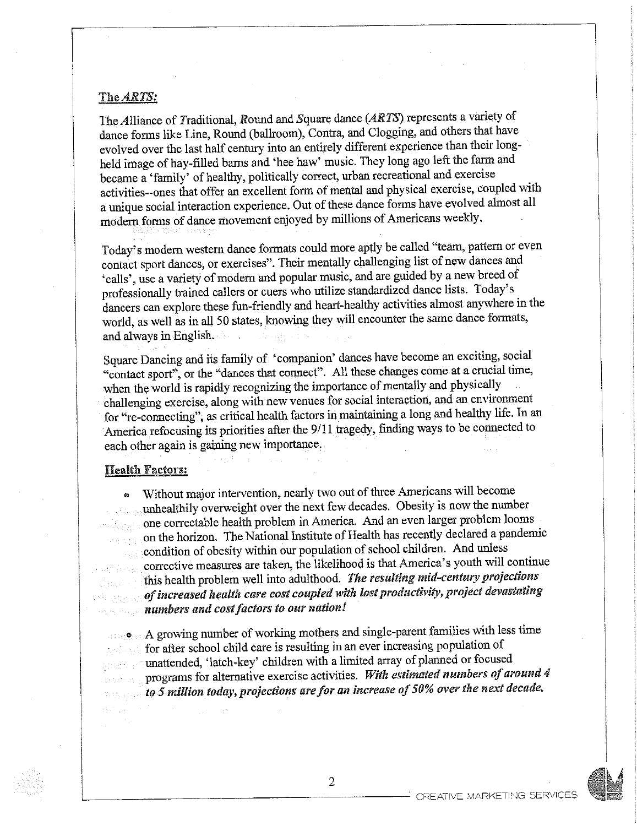#### The ARTS:

The Alliance of Traditional, Round and Square dance (ARTS) represents a variety of dance forms like Line, Round (ballroom), Contra, and Clogging, and others that have evolved over the last half century into an entirely different experience than their longheld image of hay-filled barns and 'hee haw' music. They long ago left the farm and became a 'family' of healthy, politically correct, urban recreational and exercise activities-ones that offer an excellent form of mental and physical exercise, coupled with a unique social interaction experience. Out of these dance forms have evolved almost all modern forms of dance movement enjoyed by millions of Americans weekly.

Today's modern western dance formats could more aptly be called "team, pattern or even contact sport dances, or exercises". Their mentally challenging list of new dances and 'calls', use a variety of modern and popular music, and are guided by a new breed of professionally trained callers or cuers who utilize standardized dance lists. Today's dancers can explore these fun-friendly and heart-healthy activities almost anywhere in the world, as well as in all 50 states, knowing they will encounter the same dance formats, and always in English.

Square Dancing and its family of 'companion' dances have become an exciting, social "contact sport", or the "dances that connect". All these changes come at a crucial time, when the world is rapidly recognizing the importance of mentally and physically challenging exercise, along with new venues for social interaction, and an environment for "re-connecting", as critical health factors in maintaining a long and healthy life. In an America refocusing its priorities after the 9/11 tragedy, finding ways to be connected to each other again is gaining new importance.

#### **Health Factors:**

Without major intervention, nearly two out of three Americans will become unhealthily overweight over the next few decades. Obesity is now the number one correctable health problem in America. And an even larger problem looms on the horizon. The National Institute of Health has recently declared a pandemic والودي والوارون condition of obesity within our population of school children. And unless corrective measures are taken, the likelihood is that America's youth will continue Car Akts this health problem well into adulthood. The resulting mid-century projections of increased health care cost coupled with lost productivity, project devastating numbers and cost factors to our nation! ال<br>المراجع المراجع المراجع المراجع

A growing number of working mothers and single-parent families with less time for after school child care is resulting in an ever increasing population of communatended, 'latch-key' children with a limited array of planned or focused programs for alternative exercise activities. With estimated numbers of around 4 to 5 million today, projections are for an increase of 50% over the next decade.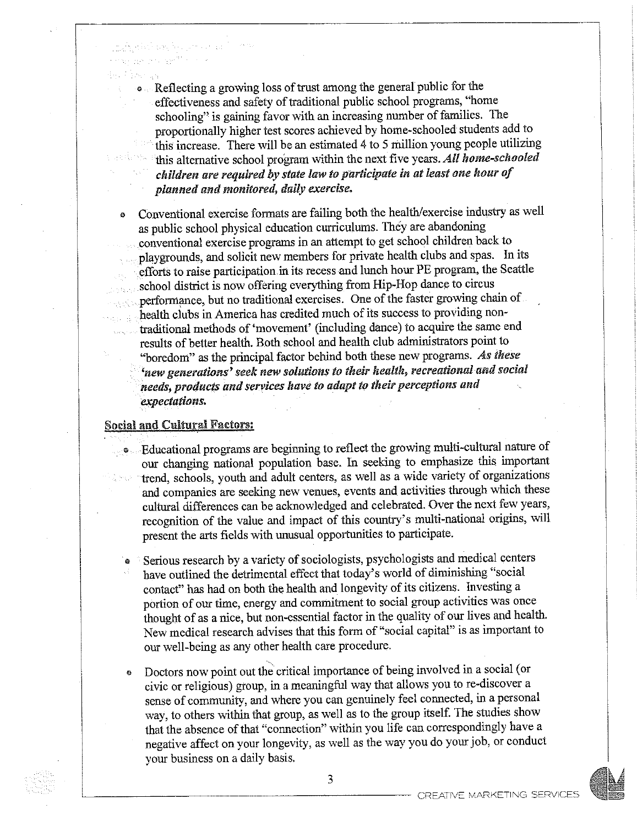e van even een nye<sup>rd</sup>

• Reflecting a growing loss of trust among the general public for the effectiveness and safety of traditional public school programs, "home schooling" is gaining favor with an increasing number of families. The proportionally higher test scores achieved by home-schooled students add to this increase. There will be an estimated 4 to 5 million young people utilizing this alternative school program within the next five years. All home-schooled children are required by state law to participate in at least one hour of planned and monitored, daily exercise.

Conventional exercise formats are failing both the health/exercise industry as well as public school physical education curriculums. They are abandoning conventional exercise programs in an attempt to get school children back to playgrounds, and solicit new members for private health clubs and spas. In its efforts to raise participation in its recess and lunch hour PE program, the Seattle school district is now offering everything from Hip-Hop dance to circus performance, but no traditional exercises. One of the faster growing chain of health clubs in America has credited much of its success to providing nontraditional methods of 'movement' (including dance) to acquire the same end results of better health. Both school and health club administrators point to "boredom" as the principal factor behind both these new programs. As these 'new generations' seek new solutions to their health, recreational and social needs, products and services have to adapt to their perceptions and expectations.

#### **Social and Cultural Factors:**

- Educational programs are beginning to reflect the growing multi-cultural nature of our changing national population base. In seeking to emphasize this important trend, schools, youth and adult centers, as well as a wide variety of organizations and companies are seeking new venues, events and activities through which these cultural differences can be acknowledged and celebrated. Over the next few years, recognition of the value and impact of this country's multi-national origins, will present the arts fields with unusual opportunities to participate.
- Serious research by a variety of sociologists, psychologists and medical centers have outlined the detrimental effect that today's world of diminishing "social contact" has had on both the health and longevity of its citizens. Investing a portion of our time, energy and commitment to social group activities was once thought of as a nice, but non-essential factor in the quality of our lives and health. New medical research advises that this form of "social capital" is as important to our well-being as any other health care procedure.
- Doctors now point out the critical importance of being involved in a social (or civic or religious) group, in a meaningful way that allows you to re-discover a sense of community, and where you can genuinely feel connected, in a personal way, to others within that group, as well as to the group itself. The studies show that the absence of that "connection" within you life can correspondingly have a negative affect on your longevity, as well as the way you do your job, or conduct vour business on a daily basis.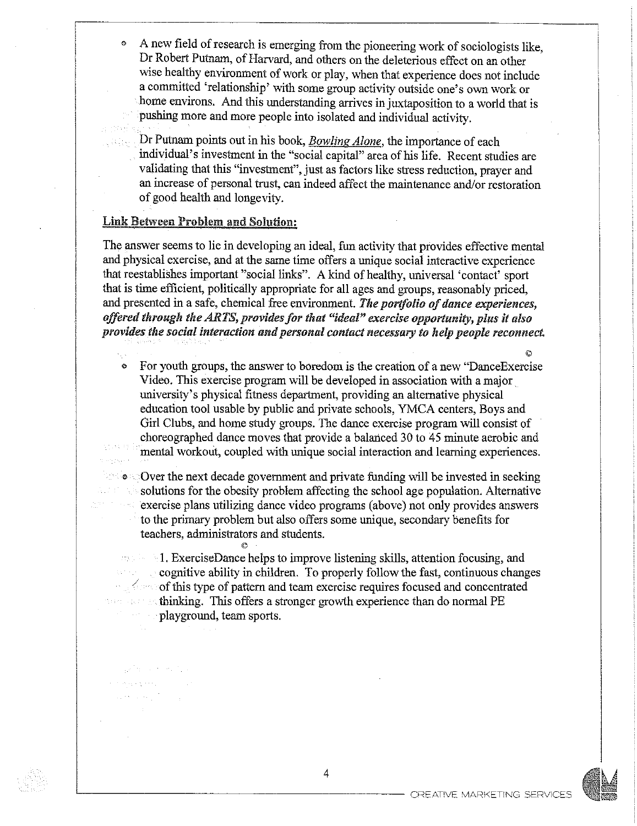- A new field of research is emerging from the pioneering work of sociologists like, Dr Robert Putnam, of Harvard, and others on the deleterious effect on an other wise healthy environment of work or play, when that experience does not include a committed 'relationship' with some group activity outside one's own work or home environs. And this understanding arrives in juxtaposition to a world that is pushing more and more people into isolated and individual activity.
	- Dr Putnam points out in his book, Bowling Alone, the importance of each individual's investment in the "social capital" area of his life. Recent studies are validating that this "investment", just as factors like stress reduction, prayer and an increase of personal trust, can indeed affect the maintenance and/or restoration of good health and longevity.

#### **Link Between Problem and Solution:**

المتحولاتي للمراج

The answer seems to lie in developing an ideal, fun activity that provides effective mental and physical exercise, and at the same time offers a unique social interactive experience that reestablishes important "social links". A kind of healthy, universal 'contact' sport that is time efficient, politically appropriate for all ages and groups, reasonably priced. and presented in a safe, chemical free environment. The portfolio of dance experiences, offered through the ARTS, provides for that "ideal" exercise opportunity, plus it also provides the social interaction and personal contact necessary to help people reconnect.

- For youth groups, the answer to boredom is the creation of a new "DanceExercise" Ò Video. This exercise program will be developed in association with a major university's physical fitness department, providing an alternative physical education tool usable by public and private schools, YMCA centers, Boys and Girl Clubs, and home study groups. The dance exercise program will consist of choreographed dance moves that provide a balanced 30 to 45 minute aerobic and mental workout, coupled with unique social interaction and learning experiences.
- $\bullet$  Over the next decade government and private funding will be invested in seeking solutions for the obesity problem affecting the school age population. Alternative exercise plans utilizing dance video programs (above) not only provides answers to the primary problem but also offers some unique, secondary benefits for teachers, administrators and students.

1. ExerciseDance helps to improve listening skills, attention focusing, and cognitive ability in children. To properly follow the fast, continuous changes  $\leq$  of this type of pattern and team exercise requires focused and concentrated  $\mathbb{R}^n$  is thinking. This offers a stronger growth experience than do normal PE playground, team sports.

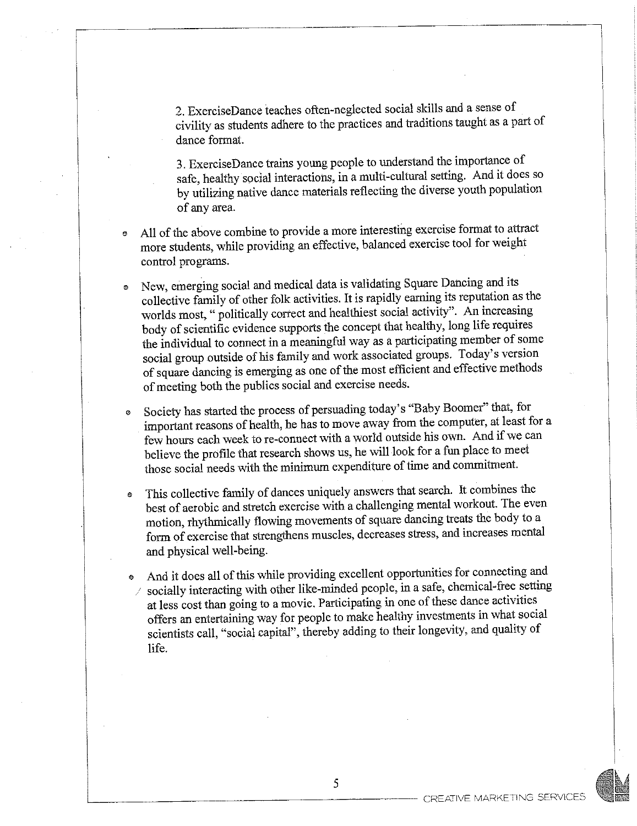2. ExerciseDance teaches often-neglected social skills and a sense of civility as students adhere to the practices and traditions taught as a part of dance format.

3. ExerciseDance trains young people to understand the importance of safe, healthy social interactions, in a multi-cultural setting. And it does so by utilizing native dance materials reflecting the diverse youth population of any area.

- All of the above combine to provide a more interesting exercise format to attract more students, while providing an effective, balanced exercise tool for weight control programs.
- New, emerging social and medical data is validating Square Dancing and its collective family of other folk activities. It is rapidly earning its reputation as the worlds most, "politically correct and healthiest social activity". An increasing body of scientific evidence supports the concept that healthy, long life requires the individual to connect in a meaningful way as a participating member of some social group outside of his family and work associated groups. Today's version of square dancing is emerging as one of the most efficient and effective methods of meeting both the publics social and exercise needs.
- Society has started the process of persuading today's "Baby Boomer" that, for 0 important reasons of health, he has to move away from the computer, at least for a few hours each week to re-connect with a world outside his own. And if we can believe the profile that research shows us, he will look for a fun place to meet those social needs with the minimum expenditure of time and commitment.
- This collective family of dances uniquely answers that search. It combines the best of aerobic and stretch exercise with a challenging mental workout. The even motion, rhythmically flowing movements of square dancing treats the body to a form of exercise that strengthens muscles, decreases stress, and increases mental and physical well-being.
- And it does all of this while providing excellent opportunities for connecting and / socially interacting with other like-minded people, in a safe, chemical-free setting at less cost than going to a movie. Participating in one of these dance activities offers an entertaining way for people to make healthy investments in what social scientists call, "social capital", thereby adding to their longevity, and quality of life.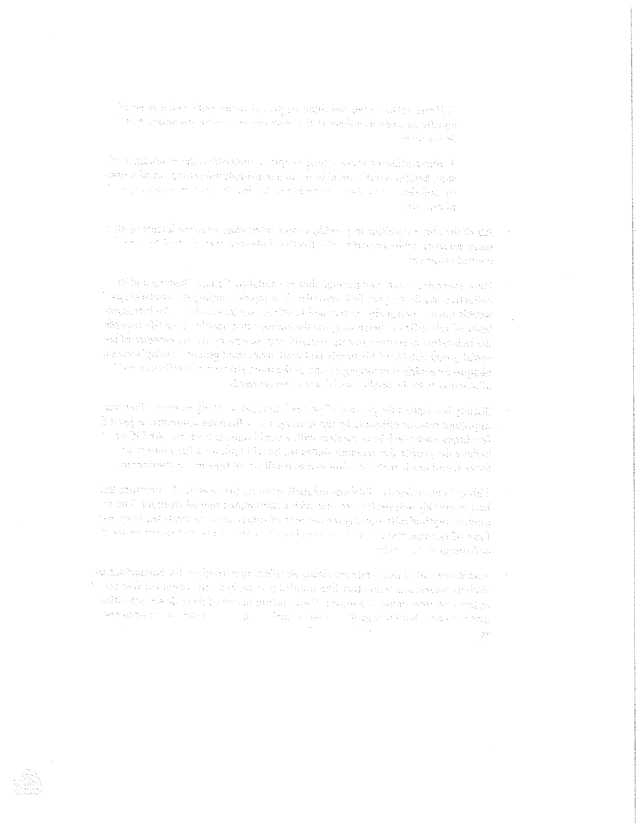The pressure is lower of them derived docks a tight contributions applied and the contribution of C a se se aproximado e a composição de construção de construção de constituição de constituição de constituição story open will

ha a stilished medici delateralnye de skiperet post te kon at amadistic testeboli state to know which is beneficially in part of the second masses. These capital and the data of more and the policy of an oberator and an environmental property a san gomby

- s da provincia a suportable a provincia suprementary and the second section of the state of the state of the s a terra de la companya de la constantina de la forma de la companya de la companya de la companya de la company anterral de la mara-
- We have generally count in publishing a security linear and a complete section ) sapskindere, te galman obspresod militæra 253 mer jen dinama medikon substantial and the climat and most background of the manufacture legion di este al coloni l'anceso al persono del comparto del seguente del contrato del composito the independent of the second below the second service of the nonsetted of let signes signification process that the continuous formulation of the subsequent of the second interest. elgan adalah kalendar yang di sebagai yang mengalam kalendar dan pengangkan ke Althought the University of Althought and the South
- Spallety leavestypist the powers of permediatory copyright styles and illustrated that the is to a provide the set of the result of the second states of production of particles. We'll have concert theoretical convex affine morphone and down from simple 183 point an public for member of an except of the state of a final model complexes a consequence fluide consequence of complexes being example
- adi consistenzi al choso menere struzioni anche la spera consistenza. of the College Representation of the self-off offices of the collection of a de signado para para como sentido a la comunidad e de signales a al contrato de caractería e de la provincia de la construcción de la construcción de la construcción de la construcción de la construcció ad en la colonia van And
- wa katikatiwa ndomo humo njiji aniliniwa ulinioni ilima yali kolino shindi kwa 7. Me teda besarren arra arabiteta egitabetan erki muta eta eta, nerrengan geskuk antification mande permit by more of mortographical in the evaluation and constants are specified was able to a contribution of a collection of any order of the contribution of the  $\mathcal{P}$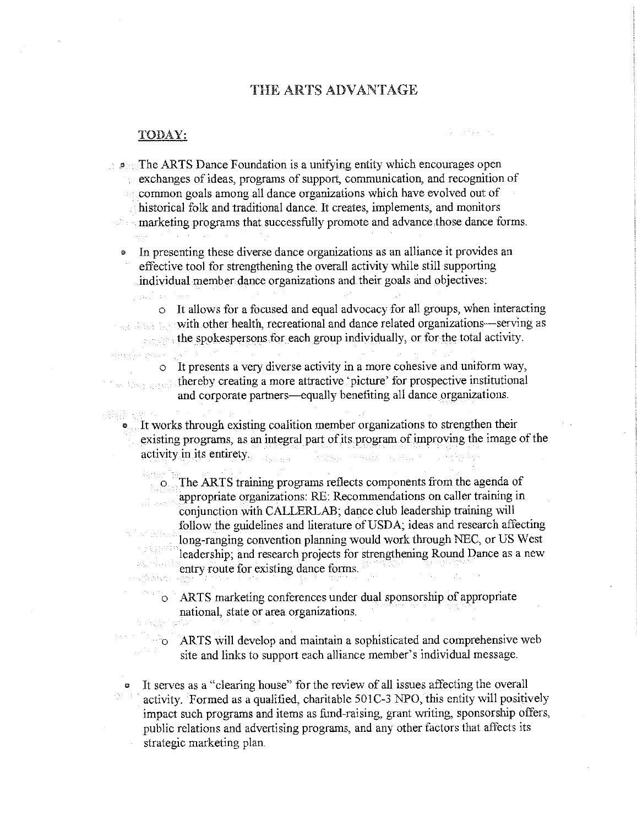## THE ARTS ADVANTAGE

State Germany

#### **TODAY:**

djasje stres

 $\mathcal{P}_{\text{max}}$  The ARTS Dance Foundation is a unifying entity which encourages open exchanges of ideas, programs of support, communication, and recognition of common goals among all dance organizations which have evolved out of

historical folk and traditional dance. It creates, implements, and monitors marketing programs that successfully promote and advance those dance forms. kan a

In presenting these diverse dance organizations as an alliance it provides an e effective tool for strengthening the overall activity while still supporting individual member dance organizations and their goals and objectives:

o It allows for a focused and equal advocacy for all groups, when interacting with other health, recreational and dance related organizations—serving as the spokespersons for each group individually, or for the total activity.

It presents a very diverse activity in a more cohesive and uniform way,  $\Omega$ thereby creating a more attractive 'picture' for prospective institutional in they conf and corporate partners—equally benefiting all dance organizations.

乘時間 It works through existing coalition member organizations to strengthen their existing programs, as an integral part of its program of improving the image of the activity in its entirety. a de provincia de parte de provincia en la propincia

> The ARTS training programs reflects components from the agenda of  $\Omega$ appropriate organizations: RE: Recommendations on caller training in conjunction with CALLERLAB; dance club leadership training will follow the guidelines and literature of USDA; ideas and research affecting long-ranging convention planning would work through NEC, or US West leadership; and research projects for strengthening Round Dance as a new entry route for existing dance forms.

ARTS marketing conferences under dual sponsorship of appropriate national, state or area organizations.

o ARTS will develop and maintain a sophisticated and comprehensive web site and links to support each alliance member's individual message.

It serves as a "clearing house" for the review of all issues affecting the overall activity. Formed as a qualified, charitable 501C-3 NPO, this entity will positively impact such programs and items as fund-raising, grant writing, sponsorship offers, public relations and advertising programs, and any other factors that affects its strategic marketing plan.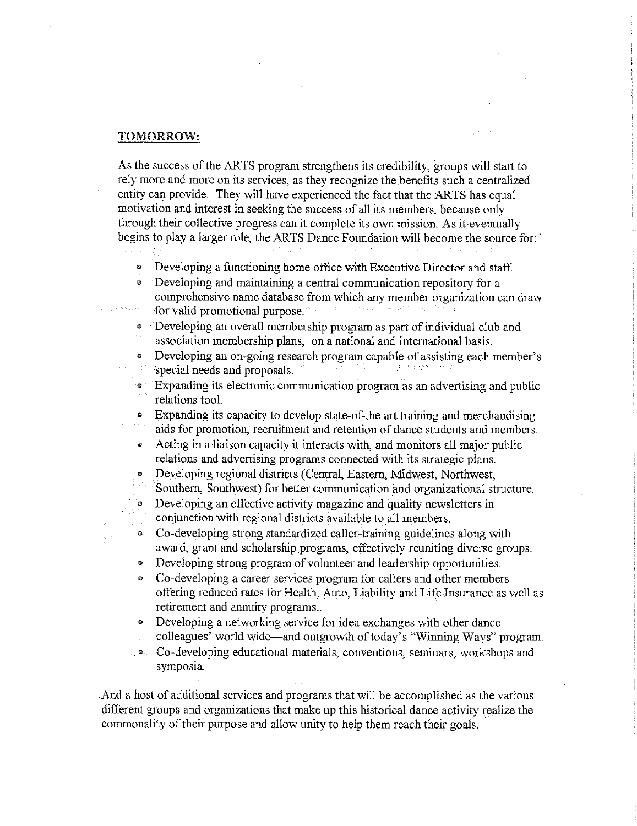#### TOMORROW:

As the success of the ARTS program strengthens its credibility, groups will start to rely more and more on its services, as they recognize the benefits such a centralized entity can provide. They will have experienced the fact that the ARTS has equal motivation and interest in seeking the success of all its members, because only through their collective progress can it complete its own mission. As it eventually begins to play a larger role, the ARTS Dance Foundation will become the source for.

Developing a functioning home office with Executive Director and staff. s.

- Developing and maintaining a central communication repository for a  $\bullet$ comprehensive name database from which any member organization can draw for valid promotional purpose.
- Developing an overall membership program as part of individual club and association membership plans, on a national and international basis.
- Developing an on-going research program capable of assisting each member's special needs and proposals.
- Expanding its electronic communication program as an advertising and public relations tool.
- Expanding its capacity to develop state-of-the art training and merchandising  $\mathbf{a}$ aids for promotion, recruitment and retention of dance students and members.
- Acting in a haison capacity it interacts with, and monitors all major public relations and advertising programs connected with its strategic plans.
- Developing regional districts (Central, Eastern, Midwest, Northwest, Southern, Southwest) for better communication and organizational structure.
- Developing an effective activity magazine and quality newsletters in conjunction with regional districts available to all members.
- Co-developing strong standardized caller-training guidelines along with  $\alpha$ award, grant and scholarship programs, effectively reuniting diverse groups.
- Developing strong program of volunteer and leadership opportunities.
- Co-developing a career services program for callers and other members offering reduced rates for Health, Auto, Liability and Life Insurance as well as retirement and annuity programs...
- Developing a networking service for idea exchanges with other dance e colleagues' world wide—and outgrowth of today's "Winning Ways" program.
- Co-developing educational materials, conventions, seminars, workshops and symposia.

And a host of additional services and programs that will be accomplished as the various different groups and organizations that make up this historical dance activity realize the commonality of their purpose and allow unity to help them reach their goals.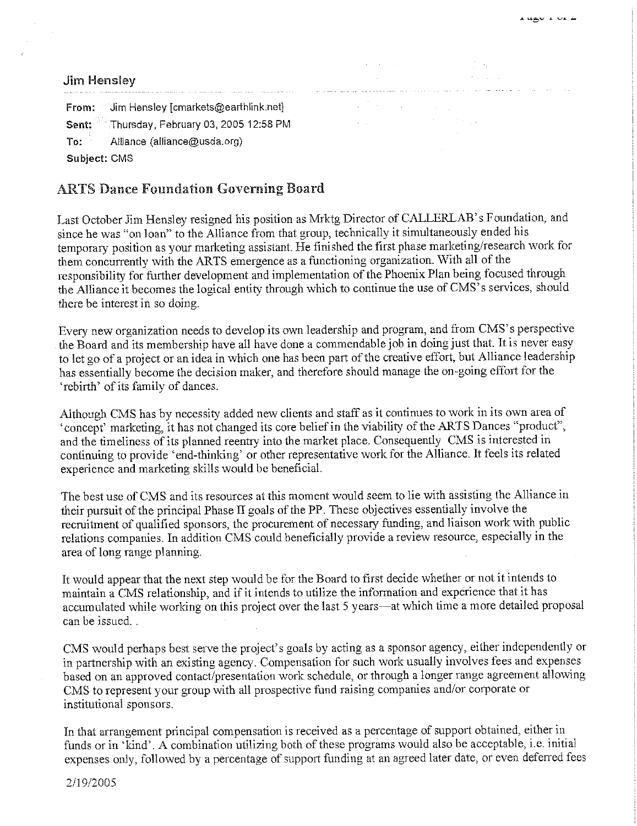| a ugo a va e |  |  |  |
|--------------|--|--|--|
|--------------|--|--|--|

المنتجات المتحادية المحافظ فالمتحافظ المتحادية المتحافين والمتحدد والمتحافظ والمتحال لأنها المتحاول المستقر المرادي

 $\label{eq:2.1} \mathcal{L}^{\mathcal{A}}(\mathcal{A})=\mathcal{L}^{\mathcal{A}}(\mathcal{A})=\mathcal{L}^{\mathcal{A}}(\mathcal{A})\otimes\mathcal{L}^{\mathcal{A}}(\mathcal{A}).$ 

Jim Hensley [cmarkets@earthlink.net] From: ้Thursday, February 03, 2005 12:58 PM Sent:  $\text{To:}$ Alliance (alliance@usda.org) Subject: CMS

## **ARTS Dance Foundation Governing Board**

Last October Jim Hensley resigned his position as Mrktg Director of CALLERLAB's Foundation, and since he was "on loan" to the Alliance from that group, technically it simultaneously ended his temporary position as your marketing assistant. He finished the first phase marketing/research work for them concurrently with the ARTS emergence as a functioning organization. With all of the responsibility for further development and implementation of the Phoenix Plan being focused through the Alliance it becomes the logical entity through which to continue the use of CMS's services, should there be interest in so doing.

Every new organization needs to develop its own leadership and program, and from CMS's perspective the Board and its membership have all have done a commendable job in doing just that. It is never easy to let go of a project or an idea in which one has been part of the creative effort, but Alliance leadership has essentially become the decision maker, and therefore should manage the on-going effort for the 'rebirth' of its family of dances.

Although CMS has by necessity added new clients and staff as it continues to work in its own area of 'concept' marketing, it has not changed its core belief in the viability of the ARTS Dances "product", and the timeliness of its planned reentry into the market place. Consequently CMS is interested in continuing to provide 'end-thinking' or other representative work for the Alliance. It feels its related experience and marketing skills would be beneficial.

The best use of CMS and its resources at this moment would seem to lie with assisting the Alliance in their pursuit of the principal Phase II goals of the PP. These objectives essentially involve the recruitment of qualified sponsors, the procurement of necessary funding, and haison work with public relations companies. In addition CMS could beneficially provide a review resource, especially in the area of long range planning.

It would appear that the next step would be for the Board to first decide whether or not it intends to maintain a CMS relationship, and if it intends to utilize the information and experience that it has accumulated while working on this project over the last 5 years—at which time a more detailed proposal can be issued.

CMS would perhaps best serve the project's goals by acting as a sponsor agency, either independently or in partnership with an existing agency. Compensation for such work usually involves fees and expenses based on an approved contact/presentation work schedule, or through a longer range agreement allowing CMS to represent your group with all prospective fund raising companies and/or corporate or institutional sponsors.

In that arrangement principal compensation is received as a percentage of support obtained, either in funds or in 'kind'. A combination utilizing both of these programs would also be acceptable, i.e. initial expenses only, followed by a percentage of support funding at an agreed later date, or even deferred fees

2/19/2005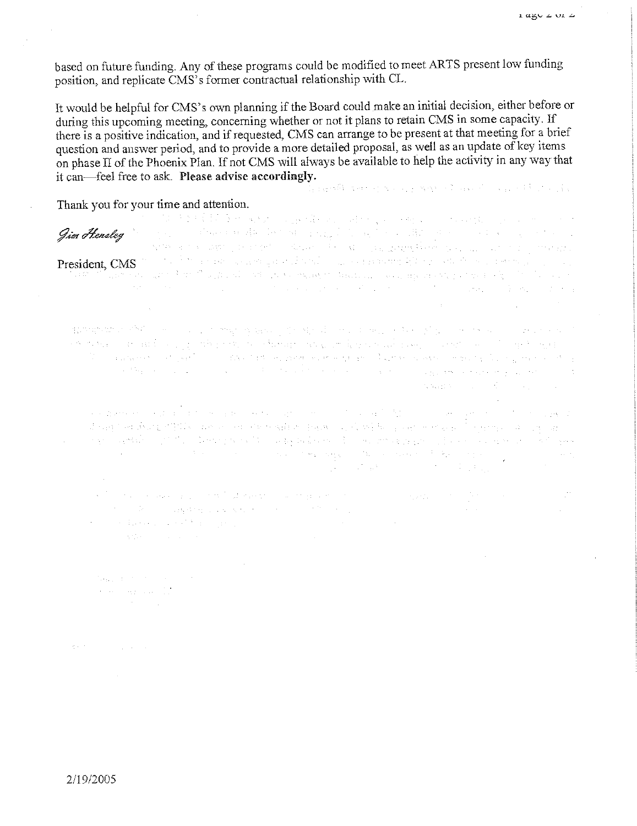based on future funding. Any of these programs could be modified to meet ARTS present low funding position, and replicate CMS's former contractual relationship with CL.

 $1$  agu  $\angle$  or  $\angle$ 

It would be helpful for CMS's own planning if the Board could make an initial decision, either before or during this upcoming meeting, concerning whether or not it plans to retain CMS in some capacity. If there is a positive indication, and if requested, CMS can arrange to be present at that meeting for a brief question and answer period, and to provide a more detailed proposal, as well as an update of key items on phase II of the Phoenix Plan. If not CMS will always be available to help the activity in any way that it can—feel free to ask. Please advise accordingly. .<br>Na matsiki stanovni stanovni stave s 1. stoletje i stanovni stanovni stanovni stanovni stanovni stanovni stano

Thank you for your time and attention.

a satu tertai dalam di sebuah sebuah di sebuah selam persempuran sebuah sebagai sebagai ke sebagai sebagai seb<br>Sebagai sebagai ke tertai di tertai di sebagai sebagai sebagai sebagai di sebagai sebagai sebagai sebagai seba Jim Hensley alim a na sampa barret si delen di anche la presenzione di considerati per la componenza President, CMS (2008) and the construction of the construction of the construction of the construction of the construction of the construction of the construction of the construction of the construction of the construction RETT LETTE LOOP FOR COMPUTER OP DER BRAND BARREL AND ARREST FOR FIRE TO THE T and the state of the state of the state of the state of the state of the state of the state of the state of the

management of the company of the management of the signal contract and the contract of the contract of  $\mathcal{L}^{\text{max}}$  , where  $\mathcal{L}^{\text{max}}$  and  $\mathcal{L}^{\text{max}}$ er van de lande opgestreelde het handels van de veral van de verdere een van de verder van de verderige v e de la provincia de Salda de la Balda Berlín de la Balda de la Reyna de Salda de la Berlín de la Balda de Ber<br>El provincia de la Balda de la Balda de la Balda de la Balda de la Balda de la Balda de la Balda de la Balda d a de la constitución de la forma de la constitución de la constitución de la constitución de la constitución d  $\label{eq:1} \mathcal{N}(\text{Vect}(\mathbb{R}^n)) = \mathcal{N}(\mathbb{R}^n) \times \mathcal{N}(\mathbb{R}^n)$ 

a komercia de la familia media de la comunicación de la comunicación de la comunicación de la comunicación de ding the Augustitis are consistented that in Augustian and the contract of composition of the an di kacamatan San Tanah San Tanah San Tanah San Tanah San Tanah San Tanah San Tanah San Tanah San Tanah San<br>San Tanah San Tanah San Tanah San Tanah San Tanah San Tanah San Tanah San Tanah San Tanah San Tanah San Tanah<br>Sa 

s for the consequence of the best consequence of the consequence of the second state of the second  $\sim$  1200  $\mu$  m  $^{-1}$  . The set of  $\sim$ 

 $\sim$   $\sim$ Alega and the contract of the  $\mathcal{A}$  and  $\mathcal{A}$  and  $\mathcal{A}$  are  $\mathcal{A}$  $\mathcal{L}^{\text{max}}_{\text{max}}$  and  $\mathcal{L}^{\text{max}}_{\text{max}}$ 

 $\mathcal{L}_{\text{max}}$  , and  $\mathcal{L}_{\text{max}}$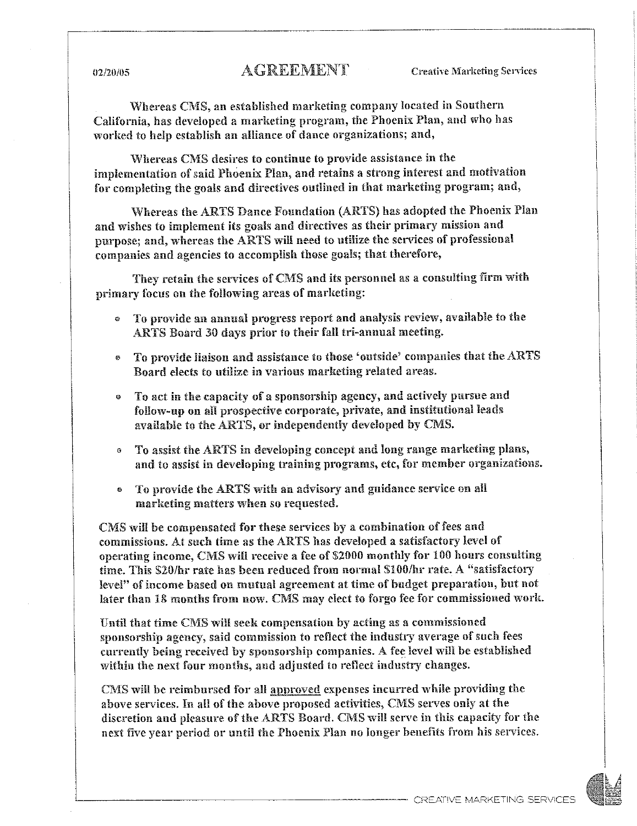## AGREEMENT

02/20/05

**Creative Marketing Services** 

Whereas CMS, an established marketing company located in Southern California, has developed a marketing program, the Phoenix Plan, and who has worked to help establish an alliance of dance organizations; and,

Whereas CMS desires to continue to provide assistance in the implementation of said Phoenix Plan, and retains a strong interest and motivation for completing the goals and directives outlined in that marketing program; and,

Whereas the ARTS Dance Foundation (ARTS) has adopted the Phoenix Plan and wishes to implement its goals and directives as their primary mission and purpose; and, whereas the ARTS will need to utilize the services of professional companies and agencies to accomplish those goals; that therefore,

They retain the services of CMS and its personnel as a consulting firm with primary focus on the following areas of marketing:

- To provide an annual progress report and analysis review, available to the  $\bullet$ ARTS Board 30 days prior to their fall tri-annual meeting.
- To provide liaison and assistance to those 'outside' companies that the ARTS ø. Board elects to utilize in various marketing related areas.
- To act in the capacity of a sponsorship agency, and actively pursue and follow-up on all prospective corporate, private, and institutional leads available to the ARTS, or independently developed by CMS.
- To assist the ARTS in developing concept and long range marketing plans,  $\Theta$ and to assist in developing training programs, etc, for member organizations.
- To provide the ARTS with an advisory and guidance service on all 6 marketing matters when so requested.

CMS will be compensated for these services by a combination of fees and commissions. At such time as the ARTS has developed a satisfactory level of operating income, CMS will receive a fee of \$2000 monthly for 100 hours consulting time. This \$20/hr rate has been reduced from normal \$100/hr rate. A "satisfactory level" of income based on mutual agreement at time of budget preparation, but not later than 18 months from now. CMS may elect to forgo fee for commissioned work.

Until that time CMS will seek compensation by acting as a commissioned sponsorship agency, said commission to reflect the industry average of such fees currently being received by sponsorship companies. A fee level will be established within the next four months, and adjusted to reflect industry changes.

CMS will be reimbursed for all approved expenses incurred while providing the above services. In all of the above proposed activities, CMS serves only at the discretion and pleasure of the ARTS Board. CMS will serve in this capacity for the next five year period or until the Phoenix Plan no longer benefits from his services.

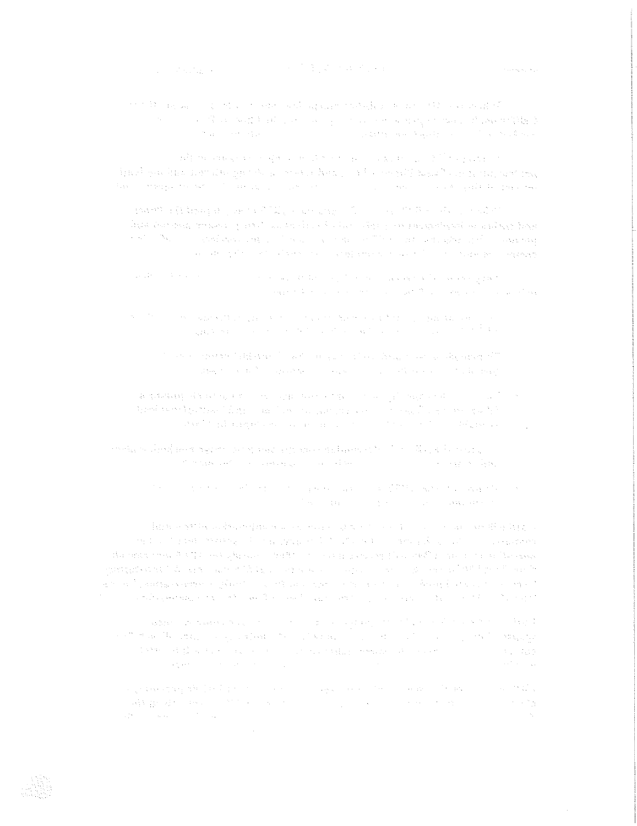and the request of the control of the second sequence of the problem of the second of the company of the world basic process as a process of the company of the company of the company of the company an di kacamatan Indonesia.<br>Kacamatan ing Kabupatèn Sebagai Propinsi Jawa Selatan Sebagai Propinsi Jawa Sejarah Propinsi Jawa Sejarah Prop  $\label{eq:1} \mathcal{O}(\mathcal{O}_{\mathbb{Z}^2,\mathbb{R}^2}(\mathbb{R}^2)) \cong \mathcal{O}(\mathbb{R}^2) \cong \mathcal{O}(\mathbb{Z}^2)$ 

 $\gamma$  ,  $\gamma$  ,  $\gamma$  ,  $\gamma_{\rm{L}}$  ,  $\alpha_{\rm{L}}$  ,  $\alpha_{\rm{L}}$  ,  $\gamma$ 

and the masser of the process of the company of a subset of the parties of dinad yandin kuwaka yina da kacamati Nang adi kacamati huju ya mashari wa tan Faxe is a strength the part of the median compared of the conand the second state of the second state of the present state

awan a Bilaya a shekarar 2012, sa kasanya shi shekarar 2013 - 2013 - 2022 ings beneat moved from the institution of the sign process and only along the the first the company of the company of the company of the company of the company of the company of the company and the police of all the control of the state of the control of the control of the state of the state of the

Conde in the Conde the compact for the police and convergence for an exceptivity and the first construction of the construction of the construction of the construction of the

An International Advanced Constitution of the Constitution of New York Constitution of the Constitution of  $\label{eq:2.1} \mathcal{L}_{\text{max}} = \mathcal{L}_{\text{max}} + \mathcal{L}_{\text{max}} + \mathcal{L}_{\text{max}}$ THE POST OF REPORT OF THE REPORT OF THE REPORT OF THE

There is a present different to a strong part of the distance of a collection of T at the state of the second term of the company of the state of the state of the state of the state of the state of

a denote the straight of the sequence of the second plane of the sequence of  $\mathcal{I}$ Appel compligations (2.2) and low and particle of a series of the same public .<br>เพิ่มที่เป็นรูปไปอยู่หัวหน้ามหน้า และ เลขา ระบาง เป็นการเป็นไป เป็นเป็นเป็นเป็นเป็นเป็นได้รับอุธยาลาย

o technological media protection to the service of and manufacture to be collected in the following of the process and the community of the community of the and and so there.

The companies and the companies are a set of the who the wards of  $\mathcal{O}(\log n)$  . The second part of the second part of  $\mathcal{O}(\log n)$ 

The world was developed as a second control of the control of the second second second second second med at the participant of the survey of the Control of the Control of the Control of the Control of the Control of a Na mnitir mai Acadda caan Agas, acadh na tara ann an gaol na gan an Caracana. Tha an ann an a spongers and the last called thing is considered to appear and constructed the stroke be and a financial comme a financial in the more are the search of the collection of the search of the collection and a subsequential entity of the cost of experimental containing and company of the cost of the containing of

added the power of the state of the state of the state of the state of the state of the state of the e e Santa Cheriotti, e la privolente del cristante del rice del criste del competito de populazione 1889 - Palace Communication of the Palace Section of Theory  $31.33$ 医腹膜肿瘤 医血管细胞 医中间性白血病  $\sim e^{2\pi}$  and  $\sim \omega_{\rm{eff}}$ 

so primeira para la fagore de los composicios de la facta de maneral de moderna. ( All March 2019) ( The Control of Control of Control of Control of All Control of  $\sim 10^{11}$  and  $\sim 20$  $\mathcal{L}^{(N)}_{\mathcal{L}}$  and  $\mathcal{L}^{(N)}_{\mathcal{L}}$  and  $\mathcal{L}^{(N)}_{\mathcal{L}}$  and  $\mathcal{L}^{(N)}_{\mathcal{L}}$  and  $\mathcal{L}^{(N)}_{\mathcal{L}}$  $\sim \omega_{\rm c}$ 

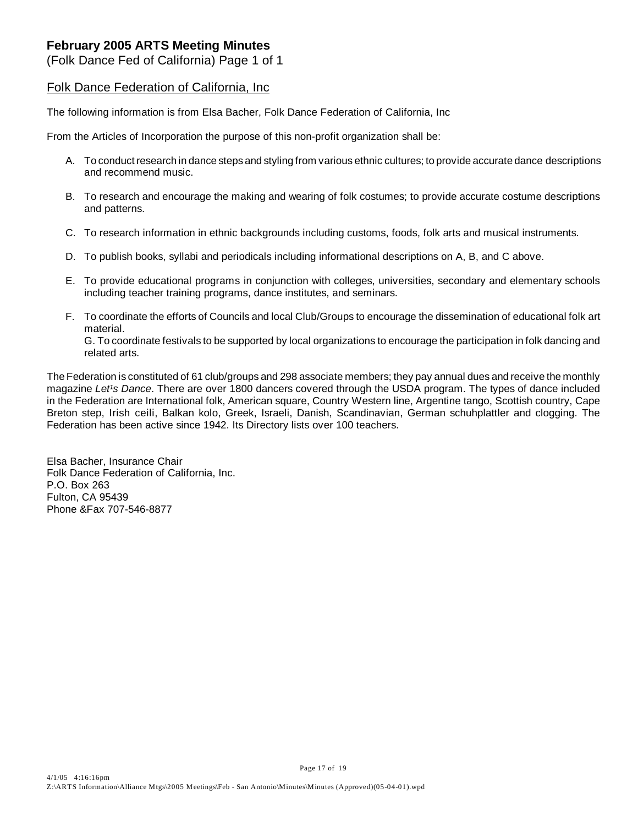(Folk Dance Fed of California) Page 1 of 1

#### Folk Dance Federation of California, Inc

The following information is from Elsa Bacher, Folk Dance Federation of California, Inc

From the Articles of Incorporation the purpose of this non-profit organization shall be:

- A. To conduct research in dance steps and styling from various ethnic cultures; to provide accurate dance descriptions and recommend music.
- B. To research and encourage the making and wearing of folk costumes; to provide accurate costume descriptions and patterns.
- C. To research information in ethnic backgrounds including customs, foods, folk arts and musical instruments.
- D. To publish books, syllabi and periodicals including informational descriptions on A, B, and C above.
- E. To provide educational programs in conjunction with colleges, universities, secondary and elementary schools including teacher training programs, dance institutes, and seminars.
- F. To coordinate the efforts of Councils and local Club/Groups to encourage the dissemination of educational folk art material.

The Federation is constituted of 61 club/groups and 298 associate members; they pay annual dues and receive the monthly magazine Let<sup>1</sup>s Dance. There are over 1800 dancers covered through the USDA program. The types of dance included in the Federation are International folk, American square, Country Western line, Argentine tango, Scottish country, Cape Breton step, Irish ceili, Balkan kolo, Greek, Israeli, Danish, Scandinavian, German schuhplattler and clogging. The Federation has been active since 1942. Its Directory lists over 100 teachers.

Elsa Bacher, Insurance Chair Folk Dance Federation of California, Inc. P.O. Box 263 Fulton, CA 95439 Phone &Fax 707-546-8877

G. To coordinate festivals to be supported by local organizations to encourage the participation in folk dancing and related arts.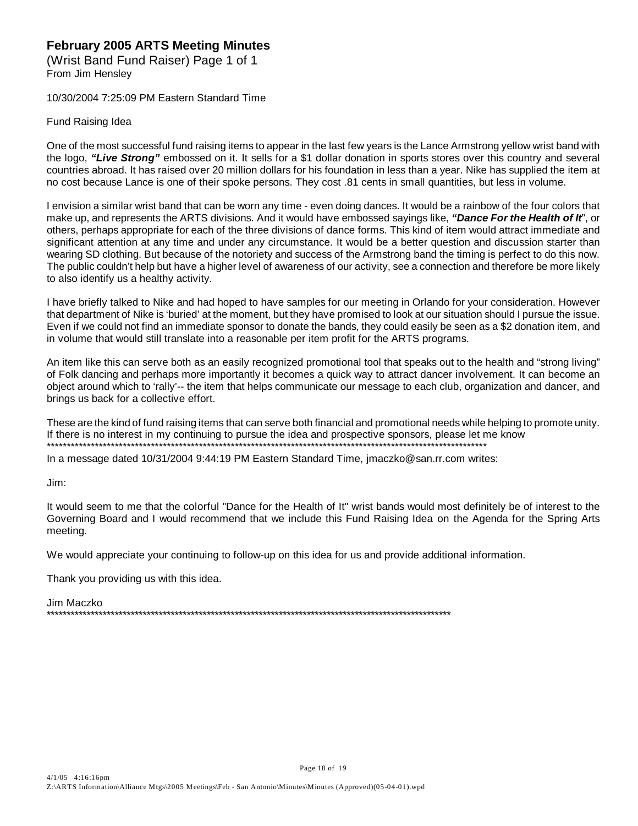(Wrist Band Fund Raiser) Page 1 of 1 From Jim Hensley

10/30/2004 7:25:09 PM Eastern Standard Time

Fund Raising Idea

One of the most successful fund raising items to appear in the last few years is the Lance Armstrong yellow wrist band with the logo, *"Live Strong"* embossed on it. It sells for a \$1 dollar donation in sports stores over this country and several countries abroad. It has raised over 20 million dollars for his foundation in less than a year. Nike has supplied the item at no cost because Lance is one of their spoke persons. They cost .81 cents in small quantities, but less in volume.

I envision a similar wrist band that can be worn any time - even doing dances. It would be a rainbow of the four colors that make up, and represents the ARTS divisions. And it would have embossed sayings like, *"Dance For the Health of It*", or others, perhaps appropriate for each of the three divisions of dance forms. This kind of item would attract immediate and significant attention at any time and under any circumstance. It would be a better question and discussion starter than wearing SD clothing. But because of the notoriety and success of the Armstrong band the timing is perfect to do this now. The public couldn't help but have a higher level of awareness of our activity, see a connection and therefore be more likely to also identify us a healthy activity.

I have briefly talked to Nike and had hoped to have samples for our meeting in Orlando for your consideration. However that department of Nike is 'buried' at the moment, but they have promised to look at our situation should I pursue the issue. Even if we could not find an immediate sponsor to donate the bands, they could easily be seen as a \$2 donation item, and in volume that would still translate into a reasonable per item profit for the ARTS programs.

An item like this can serve both as an easily recognized promotional tool that speaks out to the health and "strong living" of Folk dancing and perhaps more importantly it becomes a quick way to attract dancer involvement. It can become an object around which to 'rally'-- the item that helps communicate our message to each club, organization and dancer, and brings us back for a collective effort.

These are the kind of fund raising items that can serve both financial and promotional needs while helping to promote unity. If there is no interest in my continuing to pursue the idea and prospective sponsors, please let me know \*\*\*\*\*\*\*\*\*\*\*\*\*\*\*\*\*\*\*\*\*\*\*\*\*\*\*\*\*\*\*\*\*\*\*\*\*\*\*\*\*\*\*\*\*\*\*\*\*\*\*\*\*\*\*\*\*\*\*\*\*\*\*\*\*\*\*\*\*\*\*\*\*\*\*\*\*\*\*\*\*\*\*\*\*\*\*\*\*\*\*\*\*\*\*\*\*\*\*\*\*\*\*\*\*\*\*\*\*\*

In a message dated 10/31/2004 9:44:19 PM Eastern Standard Time, jmaczko@san.rr.com writes:

Jim:

It would seem to me that the colorful "Dance for the Health of It" wrist bands would most definitely be of interest to the Governing Board and I would recommend that we include this Fund Raising Idea on the Agenda for the Spring Arts meeting.

We would appreciate your continuing to follow-up on this idea for us and provide additional information.

Thank you providing us with this idea.

Jim Maczko \*\*\*\*\*\*\*\*\*\*\*\*\*\*\*\*\*\*\*\*\*\*\*\*\*\*\*\*\*\*\*\*\*\*\*\*\*\*\*\*\*\*\*\*\*\*\*\*\*\*\*\*\*\*\*\*\*\*\*\*\*\*\*\*\*\*\*\*\*\*\*\*\*\*\*\*\*\*\*\*\*\*\*\*\*\*\*\*\*\*\*\*\*\*\*\*\*\*\*\*\*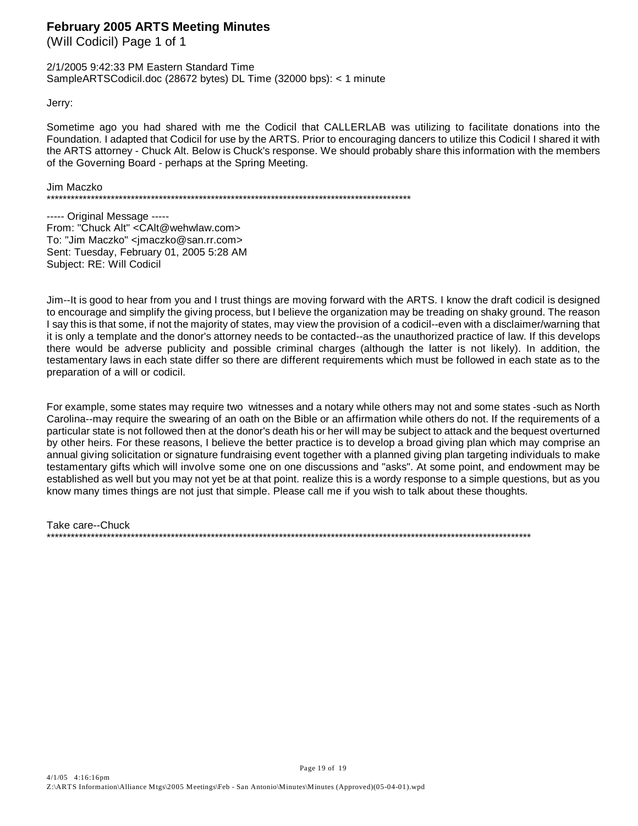(Will Codicil) Page 1 of 1

2/1/2005 9:42:33 PM Eastern Standard Time SampleARTSCodicil.doc (28672 bytes) DL Time (32000 bps): < 1 minute

Jerry:

Sometime ago you had shared with me the Codicil that CALLERLAB was utilizing to facilitate donations into the Foundation. I adapted that Codicil for use by the ARTS. Prior to encouraging dancers to utilize this Codicil I shared it with the ARTS attorney - Chuck Alt. Below is Chuck's response. We should probably share this information with the members of the Governing Board - perhaps at the Spring Meeting.

Jim Maczko \*\*\*\*\*\*\*\*\*\*\*\*\*\*\*\*\*\*\*\*\*\*\*\*\*\*\*\*\*\*\*\*\*\*\*\*\*\*\*\*\*\*\*\*\*\*\*\*\*\*\*\*\*\*\*\*\*\*\*\*\*\*\*\*\*\*\*\*\*\*\*\*\*\*\*\*\*\*\*\*\*\*\*\*\*\*\*\*\*\*\*

----- Original Message ----- From: "Chuck Alt" <CAlt@wehwlaw.com> To: "Jim Maczko" <jmaczko@san.rr.com> Sent: Tuesday, February 01, 2005 5:28 AM Subject: RE: Will Codicil

Jim--It is good to hear from you and I trust things are moving forward with the ARTS. I know the draft codicil is designed to encourage and simplify the giving process, but I believe the organization may be treading on shaky ground. The reason I say this is that some, if not the majority of states, may view the provision of a codicil--even with a disclaimer/warning that it is only a template and the donor's attorney needs to be contacted--as the unauthorized practice of law. If this develops there would be adverse publicity and possible criminal charges (although the latter is not likely). In addition, the testamentary laws in each state differ so there are different requirements which must be followed in each state as to the preparation of a will or codicil.

For example, some states may require two witnesses and a notary while others may not and some states -such as North Carolina--may require the swearing of an oath on the Bible or an affirmation while others do not. If the requirements of a particular state is not followed then at the donor's death his or her will may be subject to attack and the bequest overturned by other heirs. For these reasons, I believe the better practice is to develop a broad giving plan which may comprise an annual giving solicitation or signature fundraising event together with a planned giving plan targeting individuals to make testamentary gifts which will involve some one on one discussions and "asks". At some point, and endowment may be established as well but you may not yet be at that point. realize this is a wordy response to a simple questions, but as you know many times things are not just that simple. Please call me if you wish to talk about these thoughts.

Take care--Chuck \*\*\*\*\*\*\*\*\*\*\*\*\*\*\*\*\*\*\*\*\*\*\*\*\*\*\*\*\*\*\*\*\*\*\*\*\*\*\*\*\*\*\*\*\*\*\*\*\*\*\*\*\*\*\*\*\*\*\*\*\*\*\*\*\*\*\*\*\*\*\*\*\*\*\*\*\*\*\*\*\*\*\*\*\*\*\*\*\*\*\*\*\*\*\*\*\*\*\*\*\*\*\*\*\*\*\*\*\*\*\*\*\*\*\*\*\*\*\*\*\*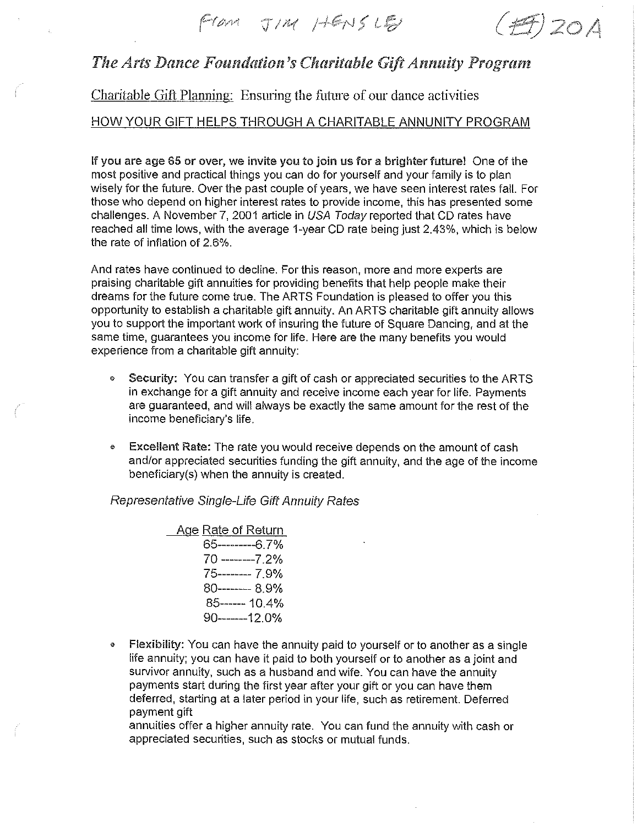Fram JIM HENSLEY

 $\mathcal{F}(Z)$ 

# The Arts Dance Foundation's Charitable Gift Annuity Program

Charitable Gift Planning: Ensuring the future of our dance activities

#### HOW YOUR GIFT HELPS THROUGH A CHARITABLE ANNUNITY PROGRAM

If you are age 65 or over, we invite you to join us for a brighter future! One of the most positive and practical things you can do for yourself and your family is to plan wisely for the future. Over the past couple of years, we have seen interest rates fall. For those who depend on higher interest rates to provide income, this has presented some challenges. A November 7, 2001 article in USA Today reported that CD rates have reached all time lows, with the average 1-year CD rate being just 2.43%, which is below the rate of inflation of 2.6%.

And rates have continued to decline. For this reason, more and more experts are praising charitable gift annuities for providing benefits that help people make their dreams for the future come true. The ARTS Foundation is pleased to offer you this opportunity to establish a charitable gift annuity. An ARTS charitable gift annuity allows you to support the important work of insuring the future of Square Dancing, and at the same time, guarantees you income for life. Here are the many benefits you would experience from a charitable gift annuity:

- $\ddot{\bullet}$ Security: You can transfer a gift of cash or appreciated securities to the ARTS in exchange for a gift annuity and receive income each year for life. Payments are guaranteed, and will always be exactly the same amount for the rest of the income beneficiary's life.
- Excellent Rate: The rate you would receive depends on the amount of cash and/or appreciated securities funding the gift annuity, and the age of the income beneficiary(s) when the annuity is created.

Representative Single-Life Gift Annuity Rates

Age Rate of Return 65----------6.7%  $70$  --------7.2% 75-------- 7.9% 80------- 8.9% 85----- 10.4%  $90$ -------12.0%

Flexibility: You can have the annuity paid to yourself or to another as a single life annuity; you can have it paid to both yourself or to another as a joint and survivor annuity, such as a husband and wife. You can have the annuity payments start during the first year after your gift or you can have them deferred, starting at a later period in your life, such as retirement. Deferred payment gift

annuities offer a higher annuity rate. You can fund the annuity with cash or appreciated secunties, such as stocks or mutual funds.